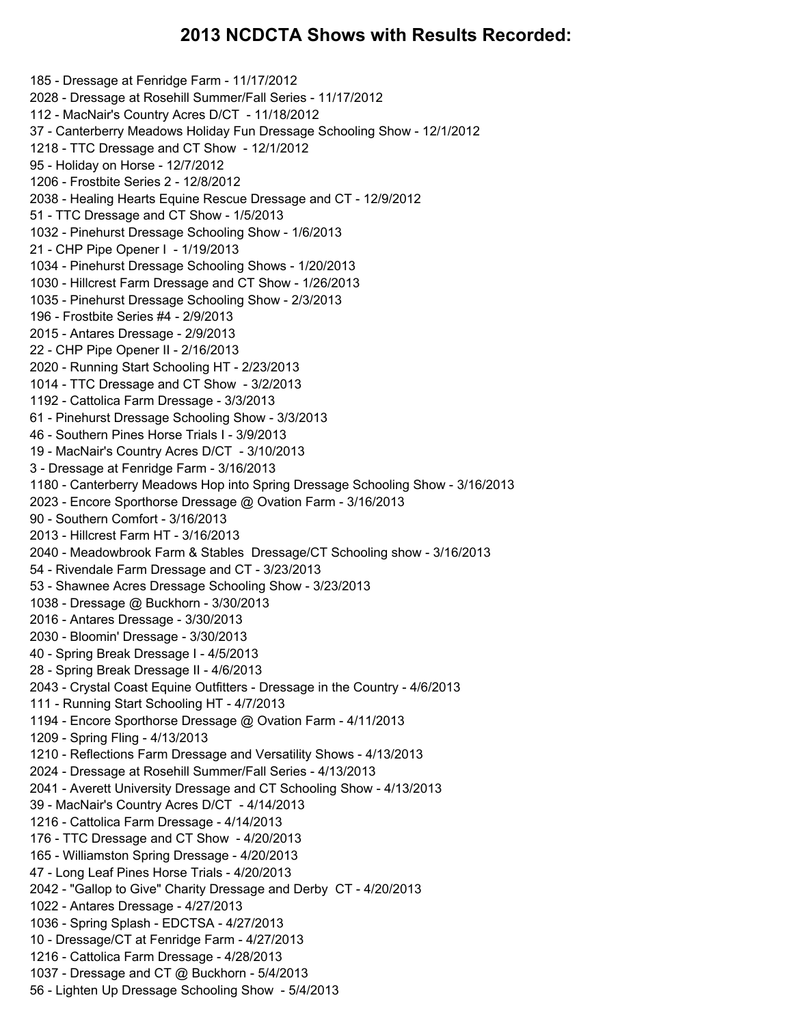#### **NCDCTA Shows with Results Recorded:**

 - Dressage at Fenridge Farm - 11/17/2012 - Dressage at Rosehill Summer/Fall Series - 11/17/2012 - MacNair's Country Acres D/CT - 11/18/2012 - Canterberry Meadows Holiday Fun Dressage Schooling Show - 12/1/2012 - TTC Dressage and CT Show - 12/1/2012 - Holiday on Horse - 12/7/2012 - Frostbite Series 2 - 12/8/2012 - Healing Hearts Equine Rescue Dressage and CT - 12/9/2012 - TTC Dressage and CT Show - 1/5/2013 - Pinehurst Dressage Schooling Show - 1/6/2013 - CHP Pipe Opener I - 1/19/2013 - Pinehurst Dressage Schooling Shows - 1/20/2013 - Hillcrest Farm Dressage and CT Show - 1/26/2013 - Pinehurst Dressage Schooling Show - 2/3/2013 - Frostbite Series #4 - 2/9/2013 - Antares Dressage - 2/9/2013 - CHP Pipe Opener II - 2/16/2013 - Running Start Schooling HT - 2/23/2013 - TTC Dressage and CT Show - 3/2/2013 - Cattolica Farm Dressage - 3/3/2013 - Pinehurst Dressage Schooling Show - 3/3/2013 - Southern Pines Horse Trials I - 3/9/2013 - MacNair's Country Acres D/CT - 3/10/2013 - Dressage at Fenridge Farm - 3/16/2013 - Canterberry Meadows Hop into Spring Dressage Schooling Show - 3/16/2013 - Encore Sporthorse Dressage @ Ovation Farm - 3/16/2013 - Southern Comfort - 3/16/2013 - Hillcrest Farm HT - 3/16/2013 - Meadowbrook Farm & Stables Dressage/CT Schooling show - 3/16/2013 - Rivendale Farm Dressage and CT - 3/23/2013 - Shawnee Acres Dressage Schooling Show - 3/23/2013 - Dressage @ Buckhorn - 3/30/2013 - Antares Dressage - 3/30/2013 - Bloomin' Dressage - 3/30/2013 - Spring Break Dressage I - 4/5/2013 - Spring Break Dressage II - 4/6/2013 - Crystal Coast Equine Outfitters - Dressage in the Country - 4/6/2013 - Running Start Schooling HT - 4/7/2013 - Encore Sporthorse Dressage @ Ovation Farm - 4/11/2013 - Spring Fling - 4/13/2013 - Reflections Farm Dressage and Versatility Shows - 4/13/2013 - Dressage at Rosehill Summer/Fall Series - 4/13/2013 - Averett University Dressage and CT Schooling Show - 4/13/2013 - MacNair's Country Acres D/CT - 4/14/2013 - Cattolica Farm Dressage - 4/14/2013 - TTC Dressage and CT Show - 4/20/2013 - Williamston Spring Dressage - 4/20/2013 - Long Leaf Pines Horse Trials - 4/20/2013 - "Gallop to Give" Charity Dressage and Derby CT - 4/20/2013 - Antares Dressage - 4/27/2013 - Spring Splash - EDCTSA - 4/27/2013 - Dressage/CT at Fenridge Farm - 4/27/2013 - Cattolica Farm Dressage - 4/28/2013 - Dressage and CT @ Buckhorn - 5/4/2013 - Lighten Up Dressage Schooling Show - 5/4/2013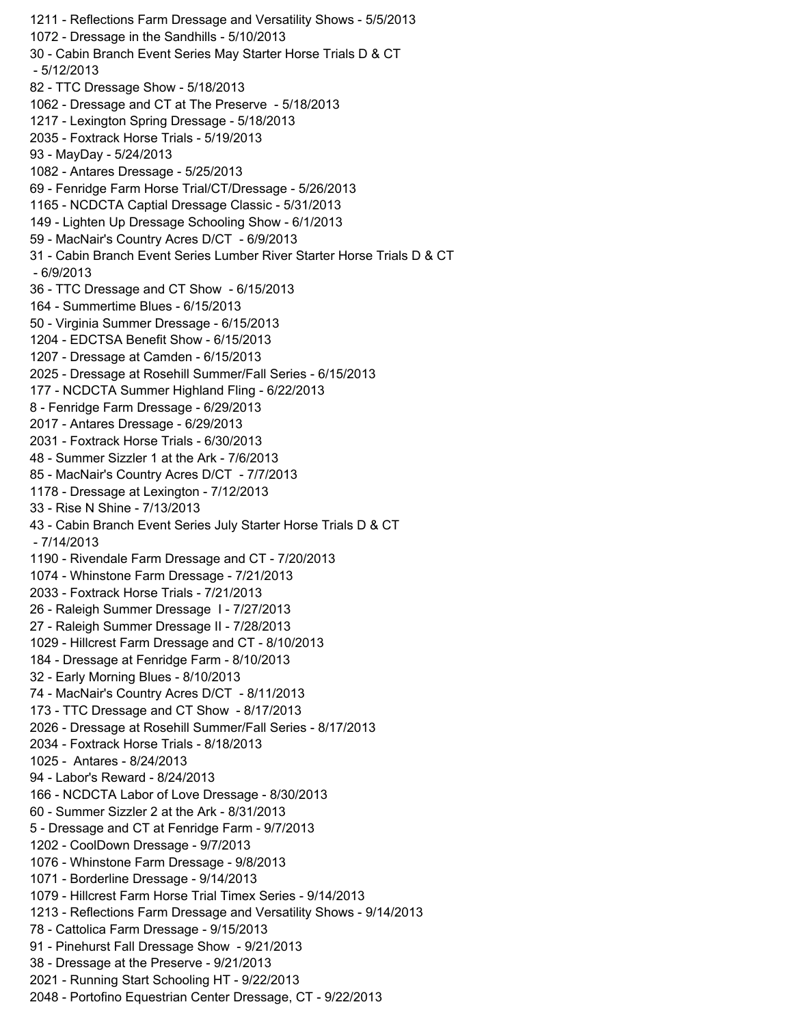- Reflections Farm Dressage and Versatility Shows - 5/5/2013 - Dressage in the Sandhills - 5/10/2013 - Cabin Branch Event Series May Starter Horse Trials D & CT - 5/12/2013 - TTC Dressage Show - 5/18/2013 - Dressage and CT at The Preserve - 5/18/2013 - Lexington Spring Dressage - 5/18/2013 - Foxtrack Horse Trials - 5/19/2013 - MayDay - 5/24/2013 - Antares Dressage - 5/25/2013 - Fenridge Farm Horse Trial/CT/Dressage - 5/26/2013 - NCDCTA Captial Dressage Classic - 5/31/2013 - Lighten Up Dressage Schooling Show - 6/1/2013 - MacNair's Country Acres D/CT - 6/9/2013 - Cabin Branch Event Series Lumber River Starter Horse Trials D & CT - 6/9/2013 - TTC Dressage and CT Show - 6/15/2013 - Summertime Blues - 6/15/2013 - Virginia Summer Dressage - 6/15/2013 - EDCTSA Benefit Show - 6/15/2013 - Dressage at Camden - 6/15/2013 - Dressage at Rosehill Summer/Fall Series - 6/15/2013 - NCDCTA Summer Highland Fling - 6/22/2013 - Fenridge Farm Dressage - 6/29/2013 - Antares Dressage - 6/29/2013 - Foxtrack Horse Trials - 6/30/2013 - Summer Sizzler 1 at the Ark - 7/6/2013 - MacNair's Country Acres D/CT - 7/7/2013 - Dressage at Lexington - 7/12/2013 - Rise N Shine - 7/13/2013 - Cabin Branch Event Series July Starter Horse Trials D & CT - 7/14/2013 - Rivendale Farm Dressage and CT - 7/20/2013 - Whinstone Farm Dressage - 7/21/2013 - Foxtrack Horse Trials - 7/21/2013 - Raleigh Summer Dressage I - 7/27/2013 - Raleigh Summer Dressage II - 7/28/2013 - Hillcrest Farm Dressage and CT - 8/10/2013 - Dressage at Fenridge Farm - 8/10/2013 - Early Morning Blues - 8/10/2013 - MacNair's Country Acres D/CT - 8/11/2013 - TTC Dressage and CT Show - 8/17/2013 - Dressage at Rosehill Summer/Fall Series - 8/17/2013 - Foxtrack Horse Trials - 8/18/2013 - Antares - 8/24/2013 - Labor's Reward - 8/24/2013 - NCDCTA Labor of Love Dressage - 8/30/2013 - Summer Sizzler 2 at the Ark - 8/31/2013 - Dressage and CT at Fenridge Farm - 9/7/2013 - CoolDown Dressage - 9/7/2013 - Whinstone Farm Dressage - 9/8/2013 - Borderline Dressage - 9/14/2013 - Hillcrest Farm Horse Trial Timex Series - 9/14/2013 - Reflections Farm Dressage and Versatility Shows - 9/14/2013 - Cattolica Farm Dressage - 9/15/2013 - Pinehurst Fall Dressage Show - 9/21/2013 - Dressage at the Preserve - 9/21/2013 - Running Start Schooling HT - 9/22/2013 - Portofino Equestrian Center Dressage, CT - 9/22/2013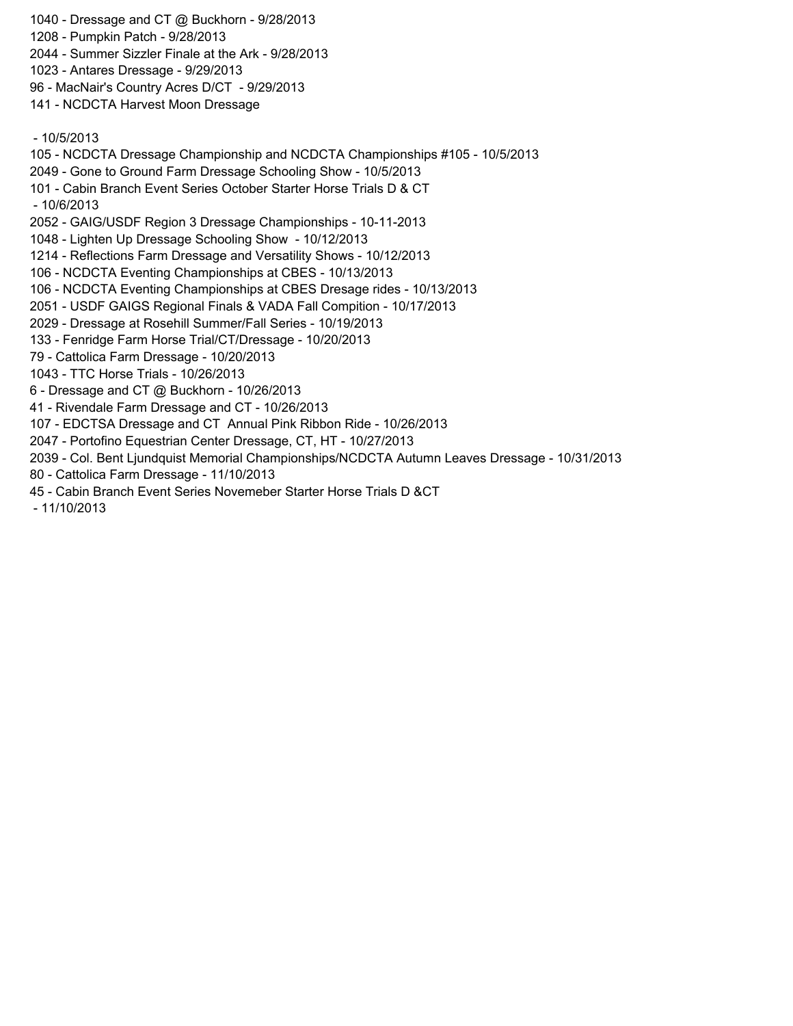- Dressage and CT @ Buckhorn - 9/28/2013 - Pumpkin Patch - 9/28/2013 - Summer Sizzler Finale at the Ark - 9/28/2013 - Antares Dressage - 9/29/2013 - MacNair's Country Acres D/CT - 9/29/2013 - NCDCTA Harvest Moon Dressage - 10/5/2013 - NCDCTA Dressage Championship and NCDCTA Championships #105 - 10/5/2013 - Gone to Ground Farm Dressage Schooling Show - 10/5/2013 - Cabin Branch Event Series October Starter Horse Trials D & CT  $-10/6/2013$  - GAIG/USDF Region 3 Dressage Championships - 10-11-2013 - Lighten Up Dressage Schooling Show - 10/12/2013 - Reflections Farm Dressage and Versatility Shows - 10/12/2013 - NCDCTA Eventing Championships at CBES - 10/13/2013 - NCDCTA Eventing Championships at CBES Dresage rides - 10/13/2013 - USDF GAIGS Regional Finals & VADA Fall Compition - 10/17/2013 - Dressage at Rosehill Summer/Fall Series - 10/19/2013 - Fenridge Farm Horse Trial/CT/Dressage - 10/20/2013 - Cattolica Farm Dressage - 10/20/2013 - TTC Horse Trials - 10/26/2013 - Dressage and CT @ Buckhorn - 10/26/2013 - Rivendale Farm Dressage and CT - 10/26/2013 - EDCTSA Dressage and CT Annual Pink Ribbon Ride - 10/26/2013 - Portofino Equestrian Center Dressage, CT, HT - 10/27/2013 - Col. Bent Ljundquist Memorial Championships/NCDCTA Autumn Leaves Dressage - 10/31/2013 - Cattolica Farm Dressage - 11/10/2013 - Cabin Branch Event Series Novemeber Starter Horse Trials D &CT - 11/10/2013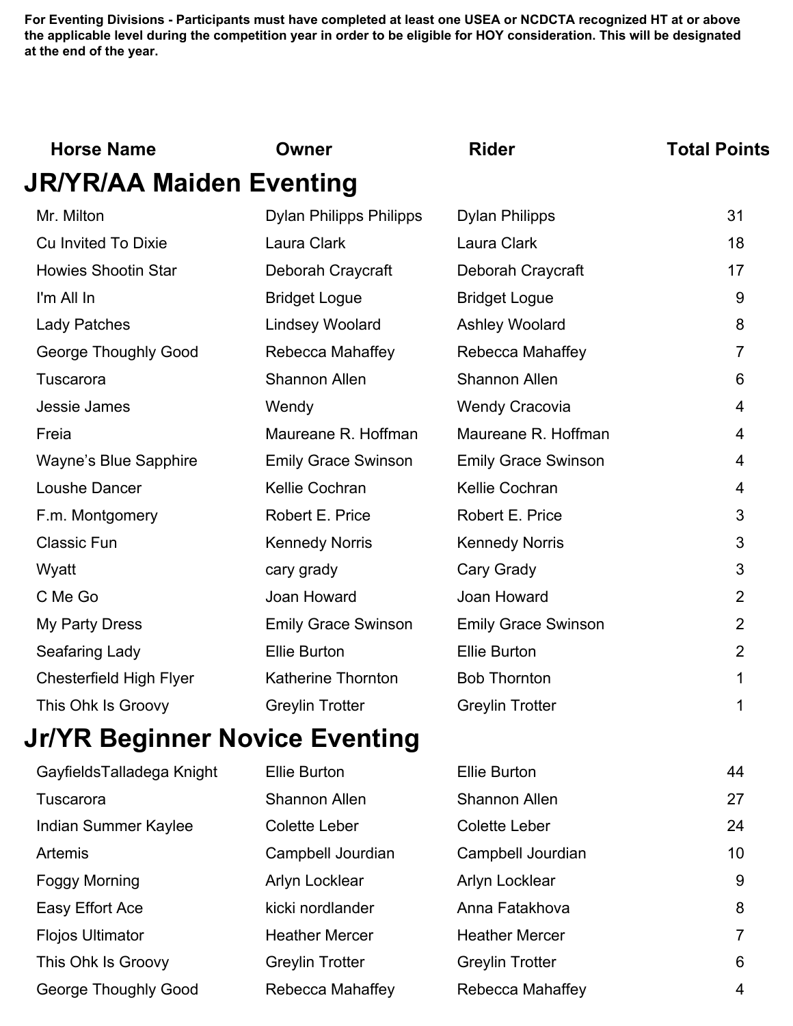| <b>Horse Name</b>                     | Owner                          | <b>Rider</b>               | <b>Total Points</b> |
|---------------------------------------|--------------------------------|----------------------------|---------------------|
| <b>JR/YR/AA Maiden Eventing</b>       |                                |                            |                     |
| Mr. Milton                            | <b>Dylan Philipps Philipps</b> | <b>Dylan Philipps</b>      | 31                  |
| Cu Invited To Dixie                   | Laura Clark                    | Laura Clark                | 18                  |
| <b>Howies Shootin Star</b>            | Deborah Craycraft              | Deborah Craycraft          | 17                  |
| I'm All In                            | <b>Bridget Logue</b>           | <b>Bridget Logue</b>       | 9                   |
| Lady Patches                          | <b>Lindsey Woolard</b>         | Ashley Woolard             | 8                   |
| George Thoughly Good                  | Rebecca Mahaffey               | Rebecca Mahaffey           | $\overline{7}$      |
| Tuscarora                             | <b>Shannon Allen</b>           | Shannon Allen              | 6                   |
| Jessie James                          | Wendy                          | <b>Wendy Cracovia</b>      | 4                   |
| Freia                                 | Maureane R. Hoffman            | Maureane R. Hoffman        | 4                   |
| <b>Wayne's Blue Sapphire</b>          | <b>Emily Grace Swinson</b>     | <b>Emily Grace Swinson</b> | 4                   |
| Loushe Dancer                         | Kellie Cochran                 | Kellie Cochran             | 4                   |
| F.m. Montgomery                       | Robert E. Price                | Robert E. Price            | 3                   |
| <b>Classic Fun</b>                    | <b>Kennedy Norris</b>          | <b>Kennedy Norris</b>      | 3                   |
| Wyatt                                 | cary grady                     | Cary Grady                 | 3                   |
| C Me Go                               | Joan Howard                    | Joan Howard                | $\overline{2}$      |
| My Party Dress                        | <b>Emily Grace Swinson</b>     | <b>Emily Grace Swinson</b> | $\overline{2}$      |
| Seafaring Lady                        | <b>Ellie Burton</b>            | <b>Ellie Burton</b>        | $\overline{2}$      |
| <b>Chesterfield High Flyer</b>        | <b>Katherine Thornton</b>      | <b>Bob Thornton</b>        | 1                   |
| This Ohk Is Groovy                    | <b>Greylin Trotter</b>         | <b>Greylin Trotter</b>     | 1                   |
| <b>Jr/YR Beginner Novice Eventing</b> |                                |                            |                     |
| GayfieldsTalladega Knight             | <b>Ellie Burton</b>            | <b>Ellie Burton</b>        | 44                  |
| Tuscarora                             | Shannon Allen                  | <b>Shannon Allen</b>       | 27                  |
| <b>Indian Summer Kaylee</b>           | <b>Colette Leber</b>           | <b>Colette Leber</b>       | 24                  |
| Artemis                               | Campbell Jourdian              | Campbell Jourdian          | 10                  |
| <b>Foggy Morning</b>                  | Arlyn Locklear                 | Arlyn Locklear             | 9                   |
| Easy Effort Ace                       | kicki nordlander               | Anna Fatakhova             | 8                   |
| <b>Flojos Ultimator</b>               | <b>Heather Mercer</b>          | <b>Heather Mercer</b>      | 7                   |
| This Ohk Is Groovy                    | <b>Greylin Trotter</b>         | <b>Greylin Trotter</b>     | 6                   |

George Thoughly Good **Rebecca Mahaffey** Rebecca Mahaffey All America Mahaffey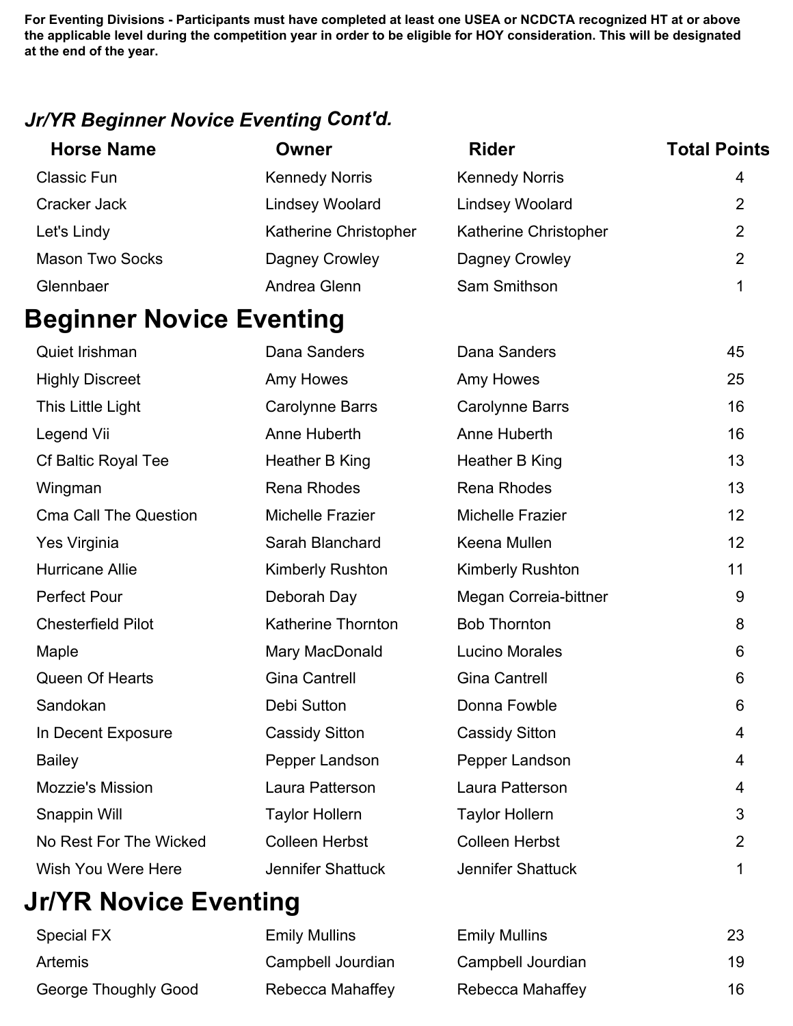# $I$  *Jr/YR Beginner Novice Eventing Cont'd.*

| <b>Horse Name</b>               | <b>Owner</b>              | <b>Rider</b>           | <b>Total Points</b> |
|---------------------------------|---------------------------|------------------------|---------------------|
| <b>Classic Fun</b>              | <b>Kennedy Norris</b>     | <b>Kennedy Norris</b>  | 4                   |
| Cracker Jack                    | <b>Lindsey Woolard</b>    | <b>Lindsey Woolard</b> | $\overline{2}$      |
| Let's Lindy                     | Katherine Christopher     | Katherine Christopher  | $\overline{2}$      |
| <b>Mason Two Socks</b>          | Dagney Crowley            | Dagney Crowley         | $\overline{2}$      |
| Glennbaer                       | Andrea Glenn              | Sam Smithson           | 1                   |
| <b>Beginner Novice Eventing</b> |                           |                        |                     |
| Quiet Irishman                  | Dana Sanders              | Dana Sanders           | 45                  |
| <b>Highly Discreet</b>          | Amy Howes                 | Amy Howes              | 25                  |
| This Little Light               | Carolynne Barrs           | <b>Carolynne Barrs</b> | 16                  |
| Legend Vii                      | Anne Huberth              | Anne Huberth           | 16                  |
| <b>Cf Baltic Royal Tee</b>      | Heather B King            | Heather B King         | 13                  |
| Wingman                         | <b>Rena Rhodes</b>        | <b>Rena Rhodes</b>     | 13                  |
| <b>Cma Call The Question</b>    | Michelle Frazier          | Michelle Frazier       | 12                  |
| Yes Virginia                    | Sarah Blanchard           | Keena Mullen           | 12                  |
| Hurricane Allie                 | <b>Kimberly Rushton</b>   | Kimberly Rushton       | 11                  |
| <b>Perfect Pour</b>             | Deborah Day               | Megan Correia-bittner  | 9                   |
| <b>Chesterfield Pilot</b>       | <b>Katherine Thornton</b> | <b>Bob Thornton</b>    | 8                   |
| Maple                           | Mary MacDonald            | <b>Lucino Morales</b>  | 6                   |
| Queen Of Hearts                 | <b>Gina Cantrell</b>      | <b>Gina Cantrell</b>   | 6                   |
| Sandokan                        | Debi Sutton               | Donna Fowble           | 6                   |
| In Decent Exposure              | <b>Cassidy Sitton</b>     | <b>Cassidy Sitton</b>  | 4                   |
| <b>Bailey</b>                   | Pepper Landson            | Pepper Landson         | 4                   |
| Mozzie's Mission                | Laura Patterson           | Laura Patterson        | 4                   |
| Snappin Will                    | <b>Taylor Hollern</b>     | <b>Taylor Hollern</b>  | 3                   |
| No Rest For The Wicked          | <b>Colleen Herbst</b>     | <b>Colleen Herbst</b>  | $\overline{2}$      |
| Wish You Were Here              | <b>Jennifer Shattuck</b>  | Jennifer Shattuck      | 1                   |

# **Jr/YR Novice Eventing**

| Special FX           | <b>Emily Mullins</b> | <b>Emily Mullins</b> | 23 |  |
|----------------------|----------------------|----------------------|----|--|
| <b>Artemis</b>       | Campbell Jourdian    | Campbell Jourdian    | 19 |  |
| George Thoughly Good | Rebecca Mahaffey     | Rebecca Mahaffey     | 16 |  |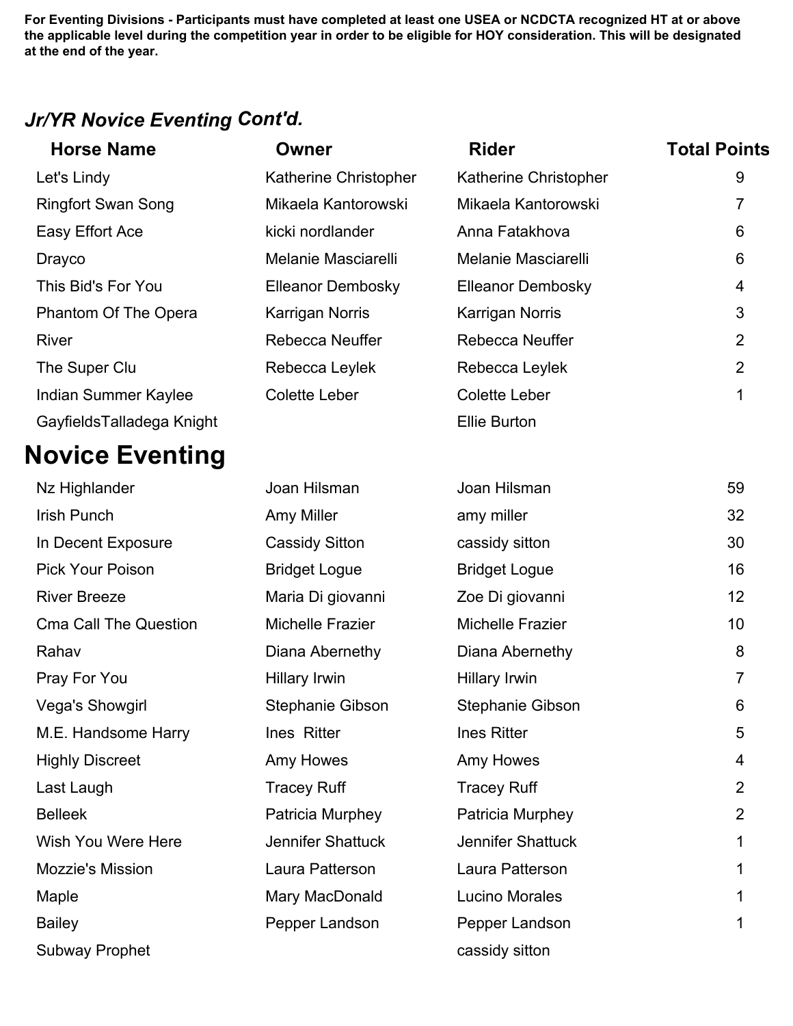# *Mr/YR* **Novice Eventing Cont'd.**

| <b>Horse Name</b>            | Owner                    | <b>Rider</b>             | <b>Total Points</b> |
|------------------------------|--------------------------|--------------------------|---------------------|
| Let's Lindy                  | Katherine Christopher    | Katherine Christopher    | 9                   |
| <b>Ringfort Swan Song</b>    | Mikaela Kantorowski      | Mikaela Kantorowski      | 7                   |
| Easy Effort Ace              | kicki nordlander         | Anna Fatakhova           | 6                   |
| <b>Drayco</b>                | Melanie Masciarelli      | Melanie Masciarelli      | 6                   |
| This Bid's For You           | <b>Elleanor Dembosky</b> | <b>Elleanor Dembosky</b> | 4                   |
| Phantom Of The Opera         | Karrigan Norris          | Karrigan Norris          | 3                   |
| River                        | Rebecca Neuffer          | Rebecca Neuffer          | $\overline{2}$      |
| The Super Clu                | Rebecca Leylek           | Rebecca Leylek           | $\overline{2}$      |
| Indian Summer Kaylee         | <b>Colette Leber</b>     | <b>Colette Leber</b>     | 1                   |
| GayfieldsTalladega Knight    |                          | <b>Ellie Burton</b>      |                     |
| <b>Novice Eventing</b>       |                          |                          |                     |
| Nz Highlander                | Joan Hilsman             | Joan Hilsman             | 59                  |
| <b>Irish Punch</b>           | Amy Miller               | amy miller               | 32                  |
| In Decent Exposure           | <b>Cassidy Sitton</b>    | cassidy sitton           | 30                  |
| <b>Pick Your Poison</b>      | <b>Bridget Logue</b>     | <b>Bridget Logue</b>     | 16                  |
| <b>River Breeze</b>          | Maria Di giovanni        | Zoe Di giovanni          | 12                  |
| <b>Cma Call The Question</b> | Michelle Frazier         | Michelle Frazier         | 10                  |
| Rahav                        | Diana Abernethy          | Diana Abernethy          | 8                   |
| Pray For You                 | Hillary Irwin            | Hillary Irwin            | $\overline{7}$      |
| <b>Vega's Showgirl</b>       | <b>Stephanie Gibson</b>  | <b>Stephanie Gibson</b>  | 6                   |
| M.E. Handsome Harry          | Ines Ritter              | <b>Ines Ritter</b>       | 5                   |
| <b>Highly Discreet</b>       | Amy Howes                | Amy Howes                | 4                   |
| Last Laugh                   | <b>Tracey Ruff</b>       | <b>Tracey Ruff</b>       | $\overline{2}$      |
| <b>Belleek</b>               | Patricia Murphey         | Patricia Murphey         | $\overline{2}$      |
| Wish You Were Here           | <b>Jennifer Shattuck</b> | <b>Jennifer Shattuck</b> | 1                   |
| <b>Mozzie's Mission</b>      | Laura Patterson          | Laura Patterson          |                     |
| Maple                        | Mary MacDonald           | <b>Lucino Morales</b>    |                     |
| <b>Bailey</b>                | Pepper Landson           | Pepper Landson           | 1                   |
| <b>Subway Prophet</b>        |                          | cassidy sitton           |                     |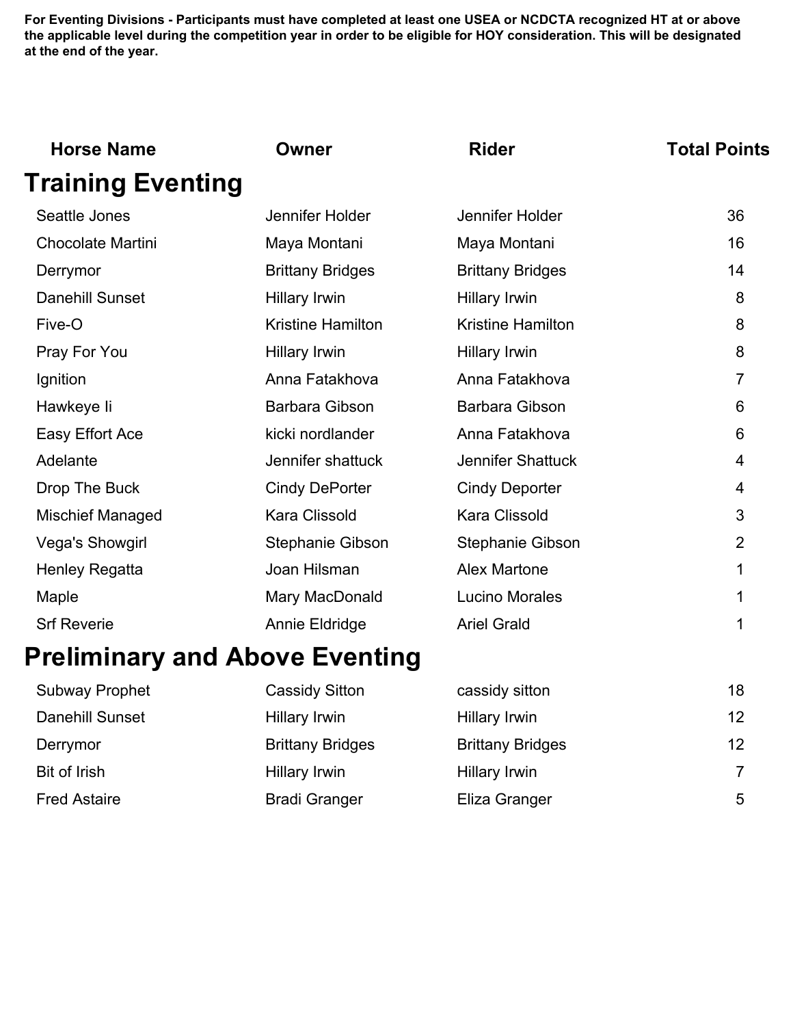| <b>Horse Name</b>        | <b>Owner</b>             | <b>Rider</b>             | <b>Total Points</b> |
|--------------------------|--------------------------|--------------------------|---------------------|
| <b>Training Eventing</b> |                          |                          |                     |
| Seattle Jones            | Jennifer Holder          | Jennifer Holder          | 36                  |
| <b>Chocolate Martini</b> | Maya Montani             | Maya Montani             | 16                  |
| Derrymor                 | <b>Brittany Bridges</b>  | <b>Brittany Bridges</b>  | 14                  |
| Danehill Sunset          | Hillary Irwin            | Hillary Irwin            | 8                   |
| Five-O                   | <b>Kristine Hamilton</b> | <b>Kristine Hamilton</b> | 8                   |
| Pray For You             | Hillary Irwin            | Hillary Irwin            | 8                   |
| Ignition                 | Anna Fatakhova           | Anna Fatakhova           | $\overline{7}$      |
| Hawkeye li               | Barbara Gibson           | Barbara Gibson           | 6                   |
| Easy Effort Ace          | kicki nordlander         | Anna Fatakhova           | 6                   |
| Adelante                 | Jennifer shattuck        | <b>Jennifer Shattuck</b> | 4                   |
| Drop The Buck            | <b>Cindy DePorter</b>    | <b>Cindy Deporter</b>    | 4                   |
| Mischief Managed         | <b>Kara Clissold</b>     | Kara Clissold            | 3                   |
| Vega's Showgirl          | <b>Stephanie Gibson</b>  | <b>Stephanie Gibson</b>  | $\overline{2}$      |
| Henley Regatta           | Joan Hilsman             | <b>Alex Martone</b>      | 1                   |
| Maple                    | Mary MacDonald           | <b>Lucino Morales</b>    | 1                   |
| <b>Srf Reverie</b>       | Annie Eldridge           | <b>Ariel Grald</b>       | 1                   |
|                          |                          |                          |                     |

## **Preliminary and Above Eventing**

| <b>Subway Prophet</b> | <b>Cassidy Sitton</b>   | cassidy sitton          | 18 |
|-----------------------|-------------------------|-------------------------|----|
| Danehill Sunset       | Hillary Irwin           | <b>Hillary Irwin</b>    | 12 |
| Derrymor              | <b>Brittany Bridges</b> | <b>Brittany Bridges</b> | 12 |
| Bit of Irish          | Hillary Irwin           | Hillary Irwin           |    |
| <b>Fred Astaire</b>   | <b>Bradi Granger</b>    | Eliza Granger           | 5  |
|                       |                         |                         |    |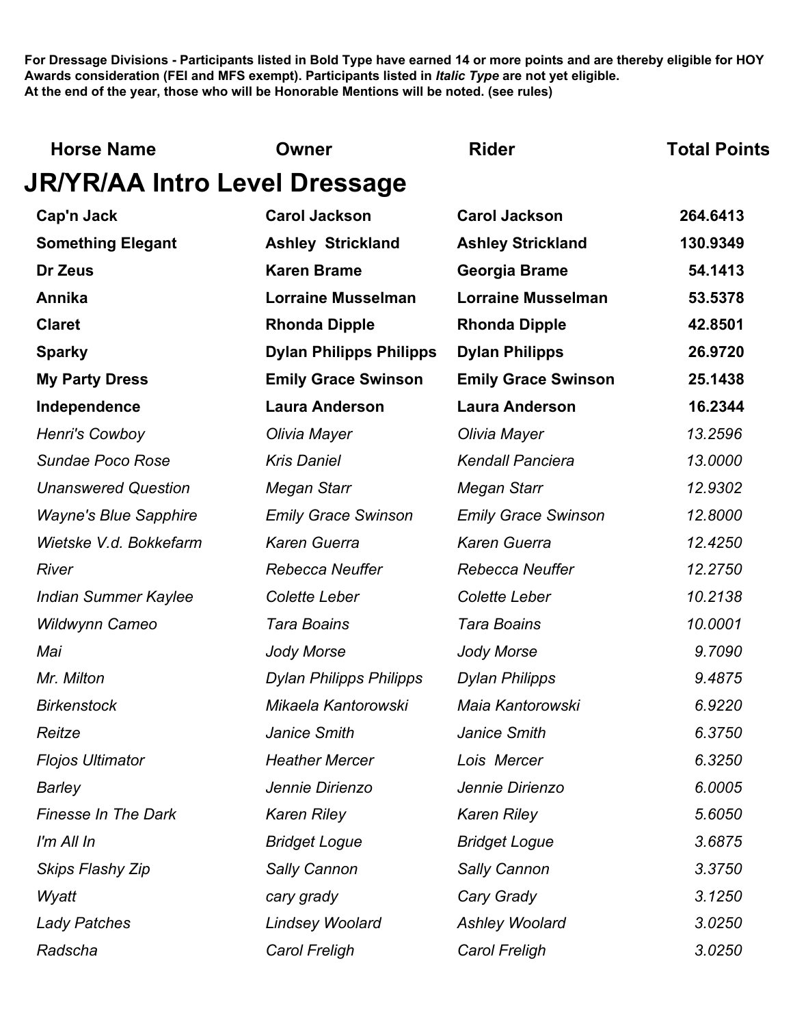| <b>Horse Name</b>                    | Owner                          | <b>Rider</b>               | <b>Total Points</b> |
|--------------------------------------|--------------------------------|----------------------------|---------------------|
| <b>JR/YR/AA Intro Level Dressage</b> |                                |                            |                     |
| Cap'n Jack                           | <b>Carol Jackson</b>           | <b>Carol Jackson</b>       | 264.6413            |
| <b>Something Elegant</b>             | <b>Ashley Strickland</b>       | <b>Ashley Strickland</b>   | 130.9349            |
| Dr Zeus                              | <b>Karen Brame</b>             | <b>Georgia Brame</b>       | 54.1413             |
| Annika                               | <b>Lorraine Musselman</b>      | <b>Lorraine Musselman</b>  | 53.5378             |
| <b>Claret</b>                        | <b>Rhonda Dipple</b>           | <b>Rhonda Dipple</b>       | 42.8501             |
| <b>Sparky</b>                        | <b>Dylan Philipps Philipps</b> | <b>Dylan Philipps</b>      | 26.9720             |
| <b>My Party Dress</b>                | <b>Emily Grace Swinson</b>     | <b>Emily Grace Swinson</b> | 25.1438             |
| Independence                         | <b>Laura Anderson</b>          | <b>Laura Anderson</b>      | 16.2344             |
| Henri's Cowboy                       | Olivia Mayer                   | Olivia Mayer               | 13.2596             |
| Sundae Poco Rose                     | <b>Kris Daniel</b>             | <b>Kendall Panciera</b>    | 13.0000             |
| <b>Unanswered Question</b>           | Megan Starr                    | Megan Starr                | 12.9302             |
| <b>Wayne's Blue Sapphire</b>         | <b>Emily Grace Swinson</b>     | <b>Emily Grace Swinson</b> | 12.8000             |
| Wietske V.d. Bokkefarm               | <b>Karen Guerra</b>            | <b>Karen Guerra</b>        | 12.4250             |
| <b>River</b>                         | Rebecca Neuffer                | Rebecca Neuffer            | 12.2750             |
| <b>Indian Summer Kaylee</b>          | Colette Leber                  | Colette Leber              | 10.2138             |
| <b>Wildwynn Cameo</b>                | <b>Tara Boains</b>             | <b>Tara Boains</b>         | 10.0001             |
| Mai                                  | Jody Morse                     | Jody Morse                 | 9.7090              |
| Mr. Milton                           | <b>Dylan Philipps Philipps</b> | <b>Dylan Philipps</b>      | 9.4875              |
| <b>Birkenstock</b>                   | Mikaela Kantorowski            | Maia Kantorowski           | 6.9220              |
| Reitze                               | Janice Smith                   | Janice Smith               | 6.3750              |
| <b>Flojos Ultimator</b>              | <b>Heather Mercer</b>          | Lois Mercer                | 6.3250              |
| <b>Barley</b>                        | Jennie Dirienzo                | Jennie Dirienzo            | 6.0005              |
| <b>Finesse In The Dark</b>           | <b>Karen Riley</b>             | <b>Karen Riley</b>         | 5.6050              |
| I'm All In                           | <b>Bridget Logue</b>           | <b>Bridget Logue</b>       | 3.6875              |
| <b>Skips Flashy Zip</b>              | <b>Sally Cannon</b>            | <b>Sally Cannon</b>        | 3.3750              |
| Wyatt                                | cary grady                     | Cary Grady                 | 3.1250              |
| <b>Lady Patches</b>                  | <b>Lindsey Woolard</b>         | <b>Ashley Woolard</b>      | 3.0250              |
| Radscha                              | Carol Freligh                  | Carol Freligh              | 3.0250              |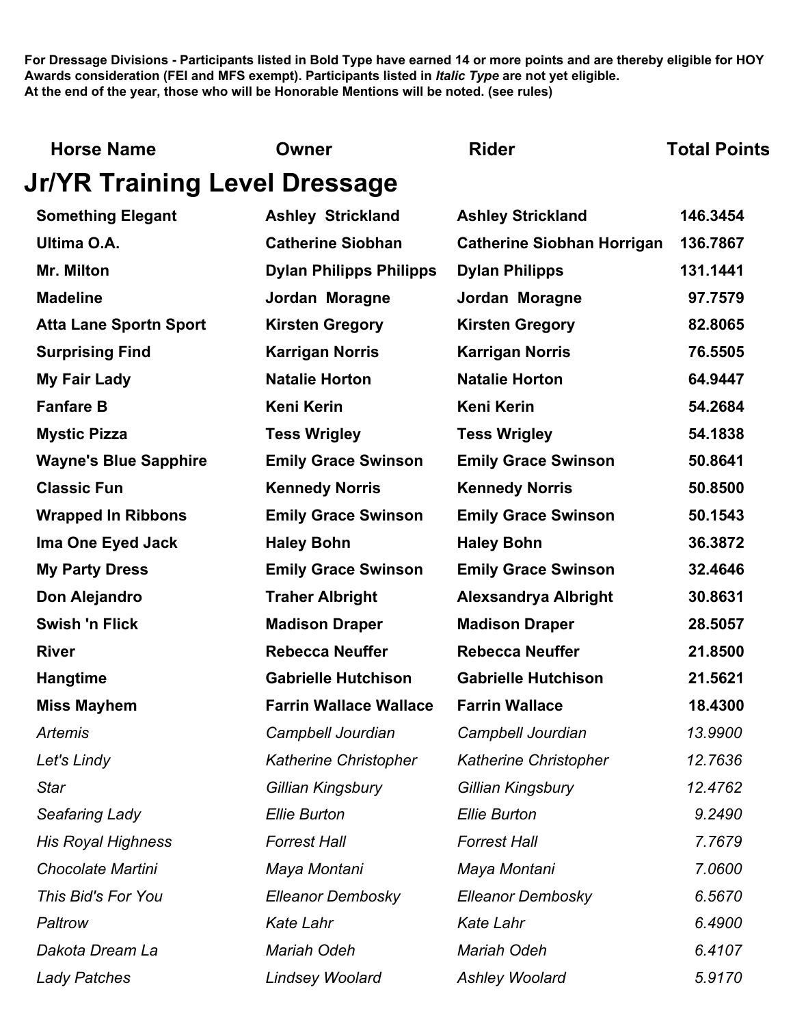# **Horse Name Owner Rider Total Points Jr/YR Training Level Dressage Something Elegant Ashley Strickland Ashley Strickland 146.3454 Ultima O.A. Catherine Siobhan Catherine Siobhan Horrigan 136.7867 Mr. Milton Dylan Philipps Philipps Dylan Philipps 131.1441 Madeline Jordan Moragne Jordan Moragne 97.7579 Atta Lane Sportn Sport Kirsten Gregory Kirsten Gregory 82.8065**

| <b>Madeline</b>               | Jordan Moragne                | Jordan Moragne              | 97.7579 |
|-------------------------------|-------------------------------|-----------------------------|---------|
| <b>Atta Lane Sportn Sport</b> | <b>Kirsten Gregory</b>        | <b>Kirsten Gregory</b>      | 82.8065 |
| <b>Surprising Find</b>        | <b>Karrigan Norris</b>        | <b>Karrigan Norris</b>      | 76.5505 |
| <b>My Fair Lady</b>           | <b>Natalie Horton</b>         | <b>Natalie Horton</b>       | 64.9447 |
| <b>Fanfare B</b>              | Keni Kerin                    | <b>Keni Kerin</b>           | 54.2684 |
| <b>Mystic Pizza</b>           | <b>Tess Wrigley</b>           | <b>Tess Wrigley</b>         | 54.1838 |
| <b>Wayne's Blue Sapphire</b>  | <b>Emily Grace Swinson</b>    | <b>Emily Grace Swinson</b>  | 50.8641 |
| <b>Classic Fun</b>            | <b>Kennedy Norris</b>         | <b>Kennedy Norris</b>       | 50.8500 |
| <b>Wrapped In Ribbons</b>     | <b>Emily Grace Swinson</b>    | <b>Emily Grace Swinson</b>  | 50.1543 |
| Ima One Eyed Jack             | <b>Haley Bohn</b>             | <b>Haley Bohn</b>           | 36.3872 |
| <b>My Party Dress</b>         | <b>Emily Grace Swinson</b>    | <b>Emily Grace Swinson</b>  | 32.4646 |
| Don Alejandro                 | <b>Traher Albright</b>        | <b>Alexsandrya Albright</b> | 30.8631 |
| <b>Swish 'n Flick</b>         | <b>Madison Draper</b>         | <b>Madison Draper</b>       | 28.5057 |
|                               |                               |                             |         |
| <b>River</b>                  | <b>Rebecca Neuffer</b>        | <b>Rebecca Neuffer</b>      | 21.8500 |
| <b>Hangtime</b>               | <b>Gabrielle Hutchison</b>    | <b>Gabrielle Hutchison</b>  | 21.5621 |
| <b>Miss Mayhem</b>            | <b>Farrin Wallace Wallace</b> | <b>Farrin Wallace</b>       | 18.4300 |
| <b>Artemis</b>                | Campbell Jourdian             | Campbell Jourdian           | 13.9900 |
| Let's Lindy                   | Katherine Christopher         | Katherine Christopher       | 12.7636 |
| <b>Star</b>                   | Gillian Kingsbury             | Gillian Kingsbury           | 12.4762 |
| Seafaring Lady                | <b>Ellie Burton</b>           | <b>Ellie Burton</b>         | 9.2490  |
| <b>His Royal Highness</b>     | <b>Forrest Hall</b>           | <b>Forrest Hall</b>         | 7.7679  |
| Chocolate Martini             | Maya Montani                  | Maya Montani                | 7.0600  |
| This Bid's For You            | <b>Elleanor Dembosky</b>      | <b>Elleanor Dembosky</b>    | 6.5670  |
| Paltrow                       | <b>Kate Lahr</b>              | <b>Kate Lahr</b>            | 6.4900  |
| Dakota Dream La               | <b>Mariah Odeh</b>            | <b>Mariah Odeh</b>          | 6.4107  |
| <b>Lady Patches</b>           | <b>Lindsey Woolard</b>        | <b>Ashley Woolard</b>       | 5.9170  |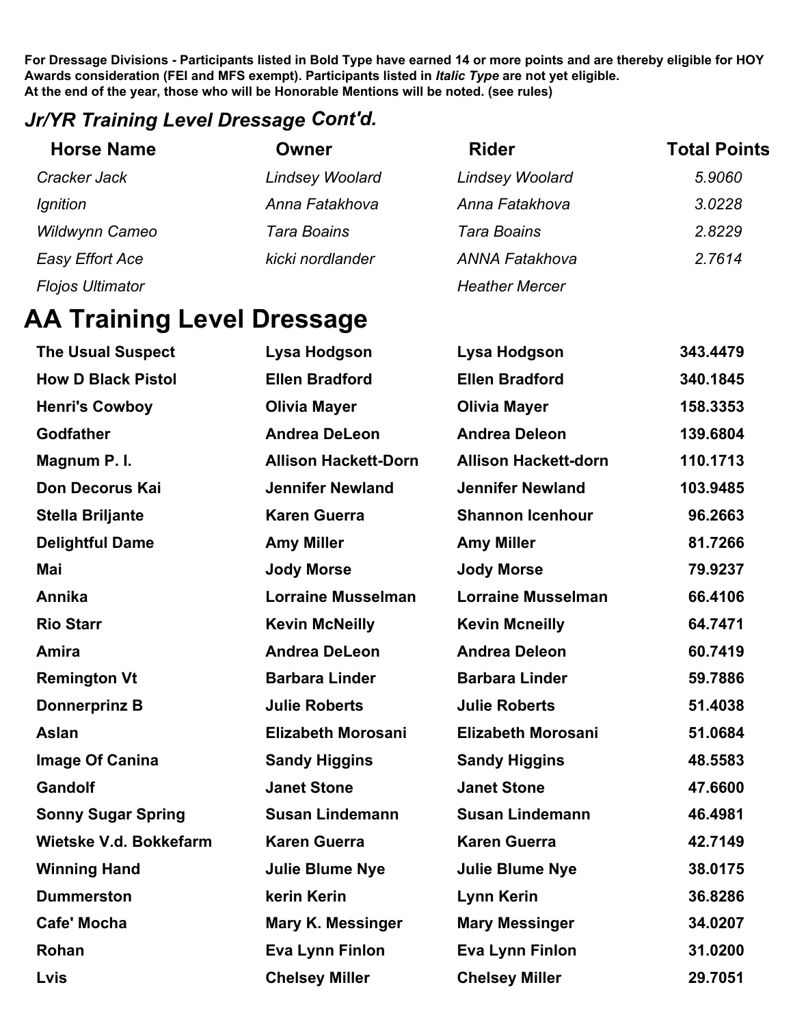### *Jr/YR Training Level Dressage Cont'd.*

| <b>Horse Name</b>       | Owner                  | <b>Rider</b>           | <b>Total Points</b> |
|-------------------------|------------------------|------------------------|---------------------|
| Cracker Jack            | <b>Lindsey Woolard</b> | <b>Lindsey Woolard</b> | 5.9060              |
| Ignition                | Anna Fatakhova         | Anna Fatakhova         | 3.0228              |
| <b>Wildwynn Cameo</b>   | Tara Boains            | <b>Tara Boains</b>     | 2.8229              |
| Easy Effort Ace         | kicki nordlander       | ANNA Fatakhova         | 2.7614              |
| <b>Flojos Ultimator</b> |                        | <b>Heather Mercer</b>  |                     |

# **AA Training Level Dressage**

| <b>The Usual Suspect</b>  | Lysa Hodgson                | Lysa Hodgson                | 343.4479 |
|---------------------------|-----------------------------|-----------------------------|----------|
| <b>How D Black Pistol</b> | <b>Ellen Bradford</b>       | <b>Ellen Bradford</b>       | 340.1845 |
| <b>Henri's Cowboy</b>     | <b>Olivia Mayer</b>         | <b>Olivia Mayer</b>         | 158.3353 |
| <b>Godfather</b>          | <b>Andrea DeLeon</b>        | <b>Andrea Deleon</b>        | 139.6804 |
| Magnum P.I.               | <b>Allison Hackett-Dorn</b> | <b>Allison Hackett-dorn</b> | 110.1713 |
| Don Decorus Kai           | <b>Jennifer Newland</b>     | <b>Jennifer Newland</b>     | 103.9485 |
| <b>Stella Briljante</b>   | <b>Karen Guerra</b>         | <b>Shannon Icenhour</b>     | 96.2663  |
| <b>Delightful Dame</b>    | <b>Amy Miller</b>           | <b>Amy Miller</b>           | 81.7266  |
| <b>Mai</b>                | <b>Jody Morse</b>           | <b>Jody Morse</b>           | 79.9237  |
| Annika                    | <b>Lorraine Musselman</b>   | <b>Lorraine Musselman</b>   | 66.4106  |
| <b>Rio Starr</b>          | <b>Kevin McNeilly</b>       | <b>Kevin Mcneilly</b>       | 64.7471  |
| Amira                     | <b>Andrea DeLeon</b>        | <b>Andrea Deleon</b>        | 60.7419  |
| <b>Remington Vt</b>       | <b>Barbara Linder</b>       | <b>Barbara Linder</b>       | 59.7886  |
| <b>Donnerprinz B</b>      | <b>Julie Roberts</b>        | <b>Julie Roberts</b>        | 51.4038  |
| <b>Aslan</b>              | <b>Elizabeth Morosani</b>   | <b>Elizabeth Morosani</b>   | 51.0684  |
| <b>Image Of Canina</b>    | <b>Sandy Higgins</b>        | <b>Sandy Higgins</b>        | 48.5583  |
| <b>Gandolf</b>            | <b>Janet Stone</b>          | <b>Janet Stone</b>          | 47.6600  |
| <b>Sonny Sugar Spring</b> | <b>Susan Lindemann</b>      | <b>Susan Lindemann</b>      | 46.4981  |
| Wietske V.d. Bokkefarm    | <b>Karen Guerra</b>         | <b>Karen Guerra</b>         | 42.7149  |
| <b>Winning Hand</b>       | <b>Julie Blume Nye</b>      | <b>Julie Blume Nye</b>      | 38.0175  |
| <b>Dummerston</b>         | kerin Kerin                 | <b>Lynn Kerin</b>           | 36.8286  |
| <b>Cafe' Mocha</b>        | Mary K. Messinger           | <b>Mary Messinger</b>       | 34.0207  |
| Rohan                     | <b>Eva Lynn Finlon</b>      | <b>Eva Lynn Finlon</b>      | 31.0200  |
| Lvis                      | <b>Chelsey Miller</b>       | <b>Chelsey Miller</b>       | 29.7051  |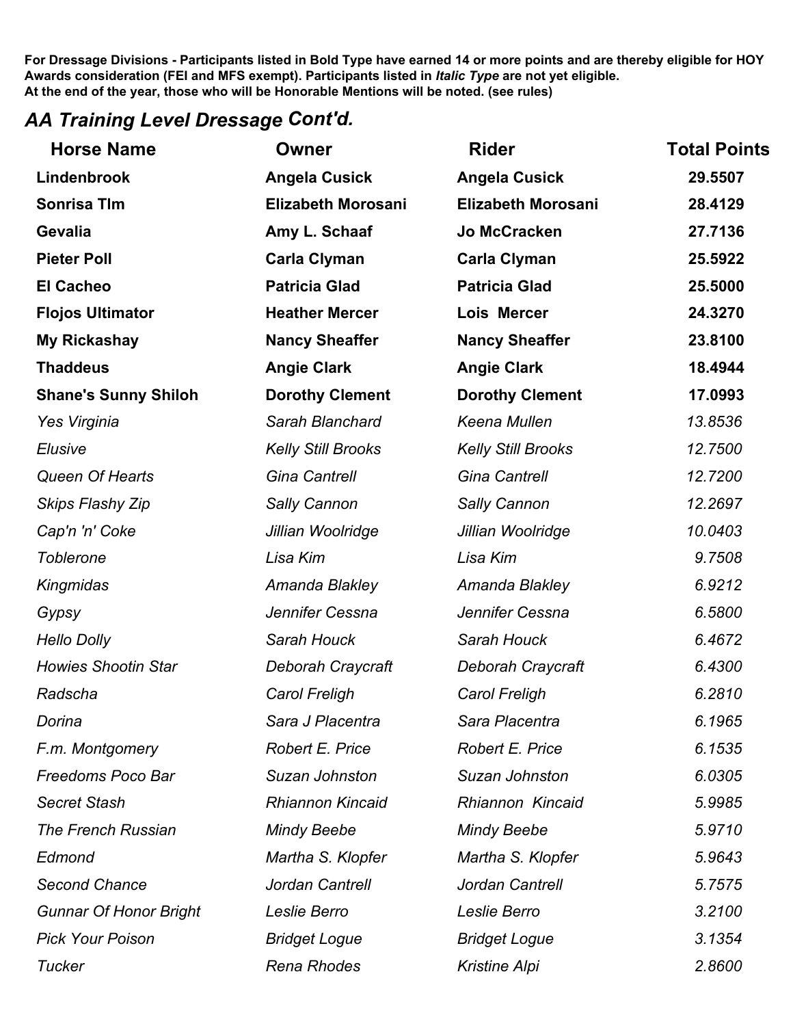### *AA Training Level Dressage Cont'd.*

| <b>Horse Name</b>             | Owner                     | <b>Rider</b>              | <b>Total Points</b> |
|-------------------------------|---------------------------|---------------------------|---------------------|
| Lindenbrook                   | <b>Angela Cusick</b>      | <b>Angela Cusick</b>      | 29.5507             |
| <b>Sonrisa TIm</b>            | <b>Elizabeth Morosani</b> | <b>Elizabeth Morosani</b> | 28.4129             |
| <b>Gevalia</b>                | Amy L. Schaaf             | Jo McCracken              | 27.7136             |
| <b>Pieter Poll</b>            | <b>Carla Clyman</b>       | <b>Carla Clyman</b>       | 25.5922             |
| <b>El Cacheo</b>              | <b>Patricia Glad</b>      | <b>Patricia Glad</b>      | 25.5000             |
| <b>Flojos Ultimator</b>       | <b>Heather Mercer</b>     | Lois Mercer               | 24.3270             |
| <b>My Rickashay</b>           | <b>Nancy Sheaffer</b>     | <b>Nancy Sheaffer</b>     | 23.8100             |
| <b>Thaddeus</b>               | <b>Angie Clark</b>        | <b>Angie Clark</b>        | 18.4944             |
| <b>Shane's Sunny Shiloh</b>   | <b>Dorothy Clement</b>    | <b>Dorothy Clement</b>    | 17.0993             |
| Yes Virginia                  | Sarah Blanchard           | Keena Mullen              | 13.8536             |
| Elusive                       | <b>Kelly Still Brooks</b> | <b>Kelly Still Brooks</b> | 12.7500             |
| Queen Of Hearts               | <b>Gina Cantrell</b>      | <b>Gina Cantrell</b>      | 12.7200             |
| <b>Skips Flashy Zip</b>       | Sally Cannon              | Sally Cannon              | 12.2697             |
| Cap'n 'n' Coke                | Jillian Woolridge         | Jillian Woolridge         | 10.0403             |
| <b>Toblerone</b>              | Lisa Kim                  | Lisa Kim                  | 9.7508              |
| Kingmidas                     | Amanda Blakley            | Amanda Blakley            | 6.9212              |
| Gypsy                         | Jennifer Cessna           | Jennifer Cessna           | 6.5800              |
| <b>Hello Dolly</b>            | Sarah Houck               | Sarah Houck               | 6.4672              |
| <b>Howies Shootin Star</b>    | Deborah Craycraft         | Deborah Craycraft         | 6.4300              |
| Radscha                       | Carol Freligh             | Carol Freligh             | 6.2810              |
| Dorina                        | Sara J Placentra          | Sara Placentra            | 6.1965              |
| F.m. Montgomery               | Robert E. Price           | Robert E. Price           | 6.1535              |
| Freedoms Poco Bar             | Suzan Johnston            | Suzan Johnston            | 6.0305              |
| <b>Secret Stash</b>           | <b>Rhiannon Kincaid</b>   | Rhiannon Kincaid          | 5.9985              |
| <b>The French Russian</b>     | <b>Mindy Beebe</b>        | <b>Mindy Beebe</b>        | 5.9710              |
| Edmond                        | Martha S. Klopfer         | Martha S. Klopfer         | 5.9643              |
| <b>Second Chance</b>          | Jordan Cantrell           | Jordan Cantrell           | 5.7575              |
| <b>Gunnar Of Honor Bright</b> | Leslie Berro              | Leslie Berro              | 3.2100              |
| <b>Pick Your Poison</b>       | <b>Bridget Logue</b>      | <b>Bridget Logue</b>      | 3.1354              |
| Tucker                        | <b>Rena Rhodes</b>        | <b>Kristine Alpi</b>      | 2.8600              |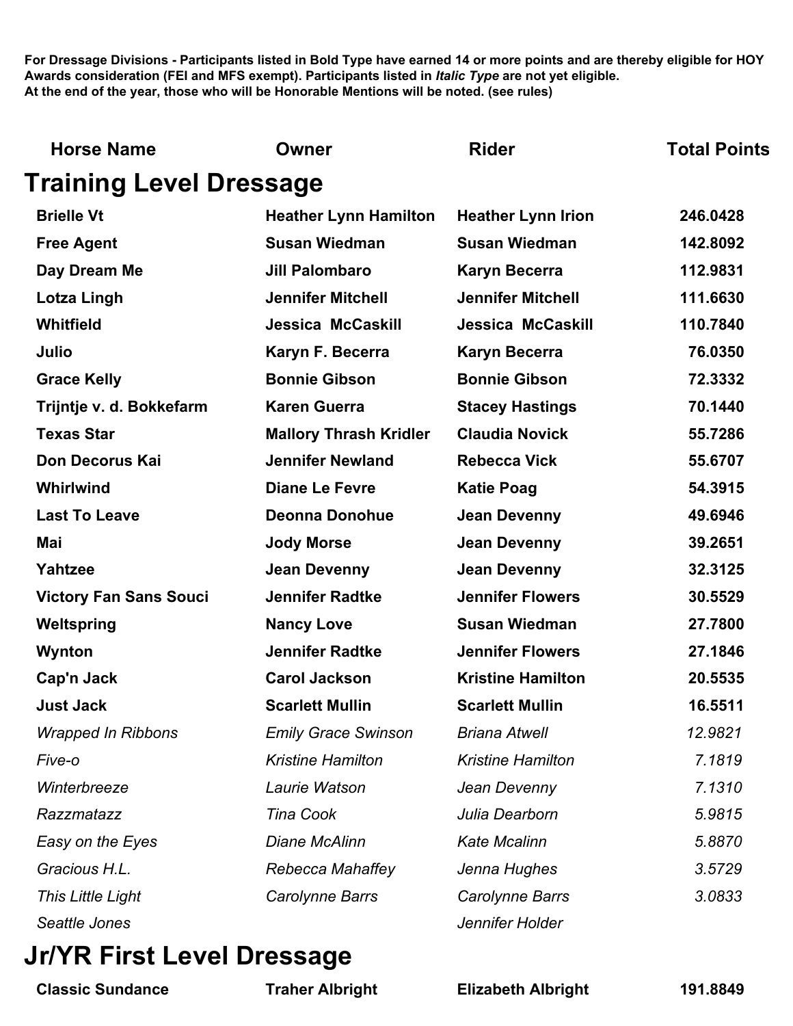| <b>Horse Name</b>              | Owner                         | <b>Rider</b>              | <b>Total Points</b> |
|--------------------------------|-------------------------------|---------------------------|---------------------|
| <b>Training Level Dressage</b> |                               |                           |                     |
| <b>Brielle Vt</b>              | <b>Heather Lynn Hamilton</b>  | <b>Heather Lynn Irion</b> | 246.0428            |
| <b>Free Agent</b>              | <b>Susan Wiedman</b>          | <b>Susan Wiedman</b>      | 142.8092            |
| Day Dream Me                   | <b>Jill Palombaro</b>         | <b>Karyn Becerra</b>      | 112.9831            |
| Lotza Lingh                    | <b>Jennifer Mitchell</b>      | <b>Jennifer Mitchell</b>  | 111.6630            |
| Whitfield                      | <b>Jessica McCaskill</b>      | <b>Jessica McCaskill</b>  | 110.7840            |
| Julio                          | Karyn F. Becerra              | <b>Karyn Becerra</b>      | 76.0350             |
| <b>Grace Kelly</b>             | <b>Bonnie Gibson</b>          | <b>Bonnie Gibson</b>      | 72.3332             |
| Trijntje v. d. Bokkefarm       | <b>Karen Guerra</b>           | <b>Stacey Hastings</b>    | 70.1440             |
| <b>Texas Star</b>              | <b>Mallory Thrash Kridler</b> | <b>Claudia Novick</b>     | 55.7286             |
| <b>Don Decorus Kai</b>         | <b>Jennifer Newland</b>       | <b>Rebecca Vick</b>       | 55.6707             |
| Whirlwind                      | <b>Diane Le Fevre</b>         | <b>Katie Poag</b>         | 54.3915             |
| <b>Last To Leave</b>           | <b>Deonna Donohue</b>         | <b>Jean Devenny</b>       | 49.6946             |
| Mai                            | <b>Jody Morse</b>             | <b>Jean Devenny</b>       | 39.2651             |
| Yahtzee                        | <b>Jean Devenny</b>           | <b>Jean Devenny</b>       | 32.3125             |
| <b>Victory Fan Sans Souci</b>  | <b>Jennifer Radtke</b>        | <b>Jennifer Flowers</b>   | 30.5529             |
| Weltspring                     | <b>Nancy Love</b>             | <b>Susan Wiedman</b>      | 27.7800             |
| Wynton                         | <b>Jennifer Radtke</b>        | <b>Jennifer Flowers</b>   | 27.1846             |
| Cap'n Jack                     | <b>Carol Jackson</b>          | <b>Kristine Hamilton</b>  | 20.5535             |
| <b>Just Jack</b>               | <b>Scarlett Mullin</b>        | <b>Scarlett Mullin</b>    | 16.5511             |
| <b>Wrapped In Ribbons</b>      | <b>Emily Grace Swinson</b>    | <b>Briana Atwell</b>      | 12.9821             |
| Five-o                         | <b>Kristine Hamilton</b>      | <b>Kristine Hamilton</b>  | 7.1819              |
| Winterbreeze                   | Laurie Watson                 | Jean Devenny              | 7.1310              |
| Razzmatazz                     | <b>Tina Cook</b>              | Julia Dearborn            | 5.9815              |
| Easy on the Eyes               | Diane McAlinn                 | <b>Kate Mcalinn</b>       | 5.8870              |
| Gracious H.L.                  | Rebecca Mahaffey              | Jenna Hughes              | 3.5729              |
| <b>This Little Light</b>       | Carolynne Barrs               | Carolynne Barrs           | 3.0833              |
| Seattle Jones                  |                               | Jennifer Holder           |                     |

### **Jr/YR First Level Dressage**

**Classic Sundance Traher Albright Elizabeth Albright 191.8849**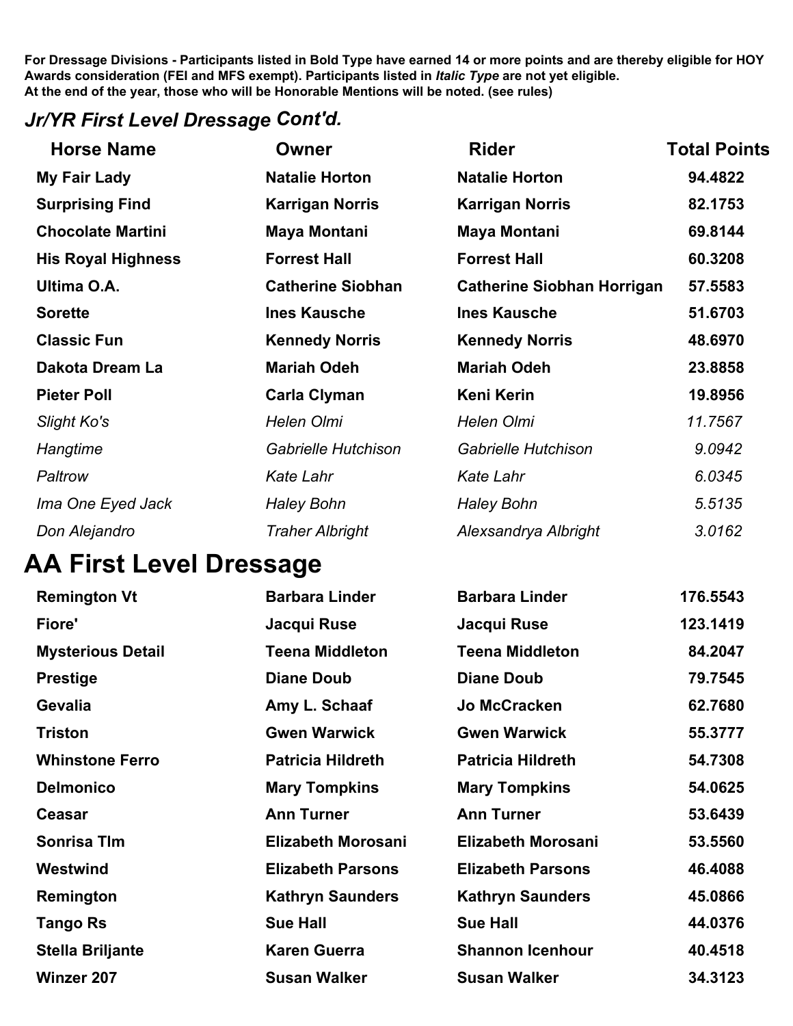### *Jr/YR First Level Dressage Cont'd.*

| <b>Horse Name</b>         | Owner                    | <b>Rider</b>                      | <b>Total Points</b> |
|---------------------------|--------------------------|-----------------------------------|---------------------|
| My Fair Lady              | <b>Natalie Horton</b>    | <b>Natalie Horton</b>             | 94.4822             |
| <b>Surprising Find</b>    | <b>Karrigan Norris</b>   | <b>Karrigan Norris</b>            | 82.1753             |
| <b>Chocolate Martini</b>  | Maya Montani             | Maya Montani                      | 69.8144             |
| <b>His Royal Highness</b> | <b>Forrest Hall</b>      | <b>Forrest Hall</b>               | 60.3208             |
| Ultima O.A.               | <b>Catherine Siobhan</b> | <b>Catherine Siobhan Horrigan</b> | 57.5583             |
| <b>Sorette</b>            | <b>Ines Kausche</b>      | <b>Ines Kausche</b>               | 51.6703             |
| <b>Classic Fun</b>        | <b>Kennedy Norris</b>    | <b>Kennedy Norris</b>             | 48.6970             |
| Dakota Dream La           | <b>Mariah Odeh</b>       | <b>Mariah Odeh</b>                | 23.8858             |
| <b>Pieter Poll</b>        | <b>Carla Clyman</b>      | Keni Kerin                        | 19.8956             |
| Slight Ko's               | Helen Olmi               | Helen Olmi                        | 11.7567             |
| Hangtime                  | Gabrielle Hutchison      | Gabrielle Hutchison               | 9.0942              |
| Paltrow                   | <b>Kate Lahr</b>         | <b>Kate Lahr</b>                  | 6.0345              |
| Ima One Eyed Jack         | <b>Haley Bohn</b>        | <b>Haley Bohn</b>                 | 5.5135              |
| Don Alejandro             | <b>Traher Albright</b>   | Alexsandrya Albright              | 3.0162              |

## **AA First Level Dressage**

| <b>Remington Vt</b>      | <b>Barbara Linder</b>     | <b>Barbara Linder</b>     | 176.5543 |
|--------------------------|---------------------------|---------------------------|----------|
| Fiore'                   | Jacqui Ruse               | Jacqui Ruse               | 123.1419 |
| <b>Mysterious Detail</b> | <b>Teena Middleton</b>    | <b>Teena Middleton</b>    | 84.2047  |
| <b>Prestige</b>          | <b>Diane Doub</b>         | <b>Diane Doub</b>         | 79.7545  |
| Gevalia                  | Amy L. Schaaf             | Jo McCracken              | 62.7680  |
| Triston                  | <b>Gwen Warwick</b>       | <b>Gwen Warwick</b>       | 55.3777  |
| <b>Whinstone Ferro</b>   | <b>Patricia Hildreth</b>  | <b>Patricia Hildreth</b>  | 54.7308  |
| <b>Delmonico</b>         | <b>Mary Tompkins</b>      | <b>Mary Tompkins</b>      | 54.0625  |
| <b>Ceasar</b>            | <b>Ann Turner</b>         | <b>Ann Turner</b>         | 53.6439  |
| Sonrisa TIm              | <b>Elizabeth Morosani</b> | <b>Elizabeth Morosani</b> | 53.5560  |
| Westwind                 | <b>Elizabeth Parsons</b>  | <b>Elizabeth Parsons</b>  | 46.4088  |
| Remington                | <b>Kathryn Saunders</b>   | <b>Kathryn Saunders</b>   | 45.0866  |
| <b>Tango Rs</b>          | <b>Sue Hall</b>           | <b>Sue Hall</b>           | 44.0376  |
| <b>Stella Briljante</b>  | <b>Karen Guerra</b>       | <b>Shannon Icenhour</b>   | 40.4518  |
| <b>Winzer 207</b>        | <b>Susan Walker</b>       | <b>Susan Walker</b>       | 34.3123  |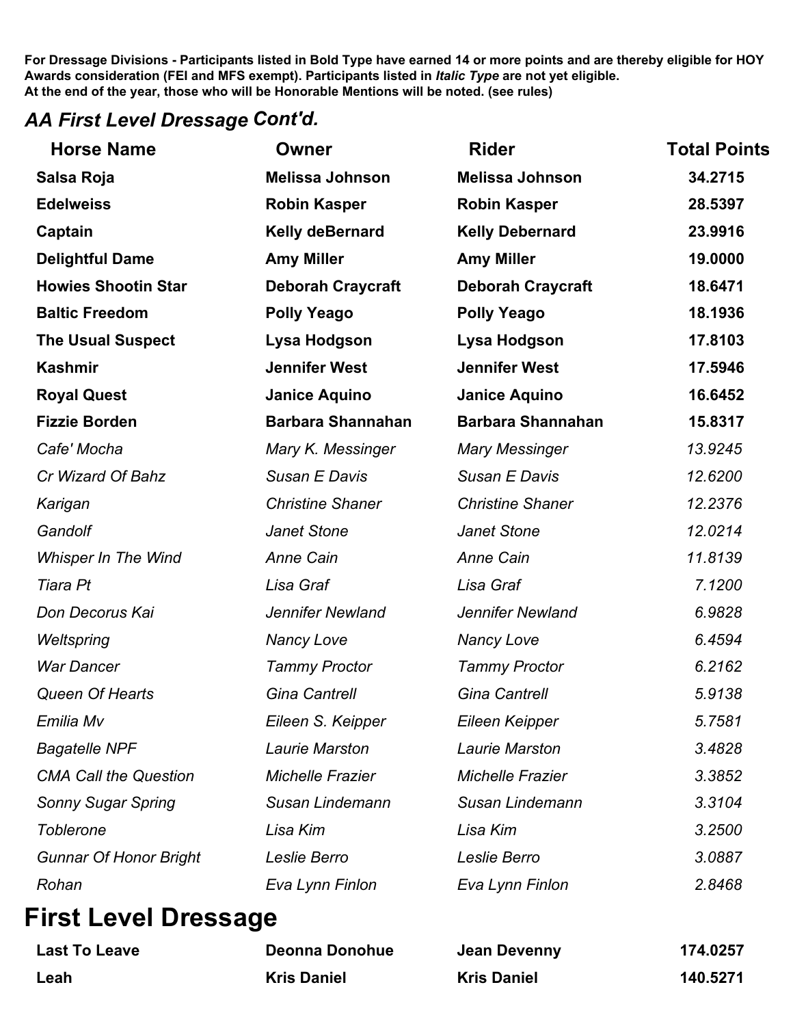### *AA First Level Dressage Cont'd.*

| <b>Horse Name</b>             | <b>Owner</b>             | <b>Rider</b>             | <b>Total Points</b> |
|-------------------------------|--------------------------|--------------------------|---------------------|
| Salsa Roja                    | <b>Melissa Johnson</b>   | <b>Melissa Johnson</b>   | 34.2715             |
| <b>Edelweiss</b>              | <b>Robin Kasper</b>      | <b>Robin Kasper</b>      | 28.5397             |
| Captain                       | <b>Kelly deBernard</b>   | <b>Kelly Debernard</b>   | 23.9916             |
| <b>Delightful Dame</b>        | <b>Amy Miller</b>        | <b>Amy Miller</b>        | 19.0000             |
| <b>Howies Shootin Star</b>    | <b>Deborah Craycraft</b> | <b>Deborah Craycraft</b> | 18.6471             |
| <b>Baltic Freedom</b>         | <b>Polly Yeago</b>       | <b>Polly Yeago</b>       | 18.1936             |
| <b>The Usual Suspect</b>      | Lysa Hodgson             | Lysa Hodgson             | 17.8103             |
| Kashmir                       | <b>Jennifer West</b>     | <b>Jennifer West</b>     | 17.5946             |
| <b>Royal Quest</b>            | <b>Janice Aquino</b>     | <b>Janice Aquino</b>     | 16.6452             |
| <b>Fizzie Borden</b>          | <b>Barbara Shannahan</b> | <b>Barbara Shannahan</b> | 15.8317             |
| Cafe' Mocha                   | Mary K. Messinger        | <b>Mary Messinger</b>    | 13.9245             |
| Cr Wizard Of Bahz             | Susan E Davis            | Susan E Davis            | 12.6200             |
| Karigan                       | <b>Christine Shaner</b>  | <b>Christine Shaner</b>  | 12.2376             |
| Gandolf                       | Janet Stone              | Janet Stone              | 12.0214             |
| <b>Whisper In The Wind</b>    | <b>Anne Cain</b>         | <b>Anne Cain</b>         | 11.8139             |
| Tiara Pt                      | Lisa Graf                | Lisa Graf                | 7.1200              |
| Don Decorus Kai               | Jennifer Newland         | Jennifer Newland         | 6.9828              |
| Weltspring                    | <b>Nancy Love</b>        | <b>Nancy Love</b>        | 6.4594              |
| <b>War Dancer</b>             | <b>Tammy Proctor</b>     | <b>Tammy Proctor</b>     | 6.2162              |
| Queen Of Hearts               | <b>Gina Cantrell</b>     | <b>Gina Cantrell</b>     | 5.9138              |
| Emilia Mv                     | Eileen S. Keipper        | Eileen Keipper           | 5.7581              |
| <b>Bagatelle NPF</b>          | Laurie Marston           | Laurie Marston           | 3.4828              |
| <b>CMA Call the Question</b>  | Michelle Frazier         | <b>Michelle Frazier</b>  | 3.3852              |
| <b>Sonny Sugar Spring</b>     | Susan Lindemann          | Susan Lindemann          | 3.3104              |
| <b>Toblerone</b>              | Lisa Kim                 | Lisa Kim                 | 3.2500              |
| <b>Gunnar Of Honor Bright</b> | Leslie Berro             | Leslie Berro             | 3.0887              |
| Rohan                         | Eva Lynn Finlon          | Eva Lynn Finlon          | 2.8468              |
|                               |                          |                          |                     |

### **First Level Dressage**

| <b>Last To Leave</b> | Deonna Donohue     | Jean Devenny       | 174.0257 |
|----------------------|--------------------|--------------------|----------|
| Leah                 | <b>Kris Daniel</b> | <b>Kris Daniel</b> | 140.5271 |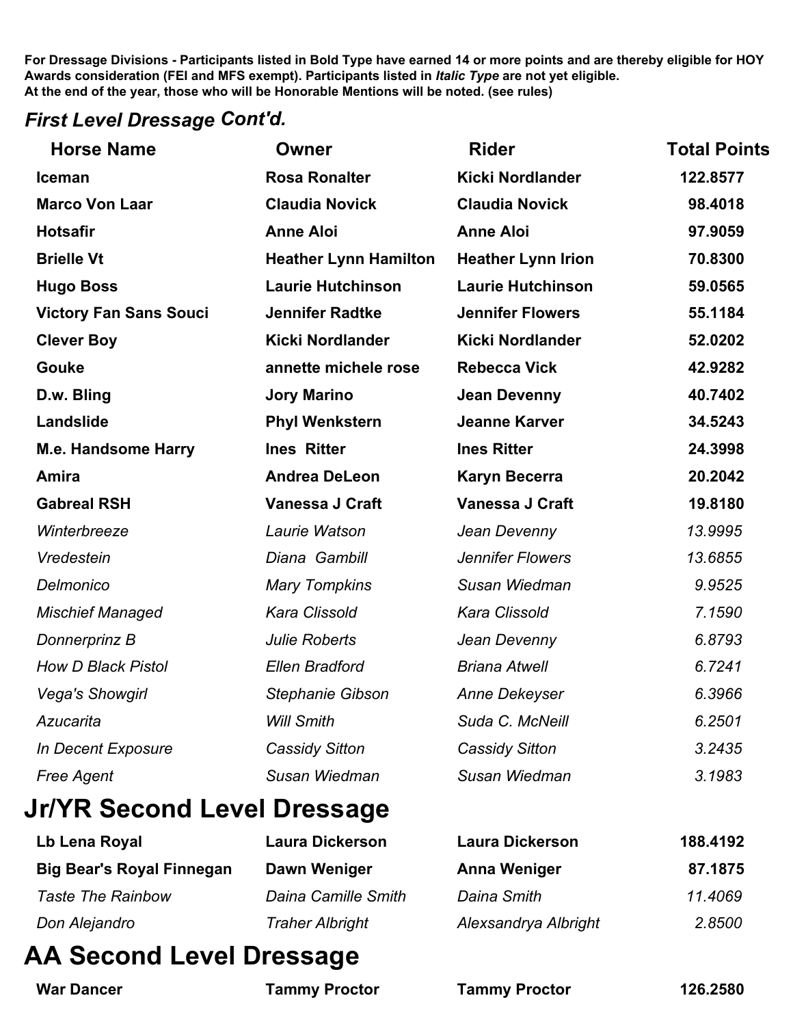#### *First Level Dressage Cont'd.*

| <b>Horse Name</b>             | Owner                        | <b>Rider</b>              | <b>Total Points</b> |
|-------------------------------|------------------------------|---------------------------|---------------------|
| Iceman                        | <b>Rosa Ronalter</b>         | <b>Kicki Nordlander</b>   | 122.8577            |
| <b>Marco Von Laar</b>         | <b>Claudia Novick</b>        | <b>Claudia Novick</b>     | 98.4018             |
| <b>Hotsafir</b>               | <b>Anne Aloi</b>             | <b>Anne Aloi</b>          | 97.9059             |
| <b>Brielle Vt</b>             | <b>Heather Lynn Hamilton</b> | <b>Heather Lynn Irion</b> | 70.8300             |
| <b>Hugo Boss</b>              | <b>Laurie Hutchinson</b>     | <b>Laurie Hutchinson</b>  | 59.0565             |
| <b>Victory Fan Sans Souci</b> | <b>Jennifer Radtke</b>       | <b>Jennifer Flowers</b>   | 55.1184             |
| <b>Clever Boy</b>             | <b>Kicki Nordlander</b>      | <b>Kicki Nordlander</b>   | 52.0202             |
| <b>Gouke</b>                  | annette michele rose         | <b>Rebecca Vick</b>       | 42.9282             |
| D.w. Bling                    | <b>Jory Marino</b>           | <b>Jean Devenny</b>       | 40.7402             |
| Landslide                     | <b>Phyl Wenkstern</b>        | <b>Jeanne Karver</b>      | 34.5243             |
| <b>M.e. Handsome Harry</b>    | <b>Ines Ritter</b>           | <b>Ines Ritter</b>        | 24.3998             |
| Amira                         | <b>Andrea DeLeon</b>         | <b>Karyn Becerra</b>      | 20.2042             |
| <b>Gabreal RSH</b>            | Vanessa J Craft              | Vanessa J Craft           | 19.8180             |
| Winterbreeze                  | Laurie Watson                | Jean Devenny              | 13.9995             |
| Vredestein                    | Diana Gambill                | <b>Jennifer Flowers</b>   | 13.6855             |
| Delmonico                     | <b>Mary Tompkins</b>         | Susan Wiedman             | 9.9525              |
| <b>Mischief Managed</b>       | <b>Kara Clissold</b>         | <b>Kara Clissold</b>      | 7.1590              |
| Donnerprinz B                 | <b>Julie Roberts</b>         | Jean Devenny              | 6.8793              |
| <b>How D Black Pistol</b>     | <b>Ellen Bradford</b>        | <b>Briana Atwell</b>      | 6.7241              |
| <b>Vega's Showgirl</b>        | Stephanie Gibson             | Anne Dekeyser             | 6.3966              |
| Azucarita                     | <b>Will Smith</b>            | Suda C. McNeill           | 6.2501              |
| In Decent Exposure            | <b>Cassidy Sitton</b>        | <b>Cassidy Sitton</b>     | 3.2435              |
| <b>Free Agent</b>             | Susan Wiedman                | Susan Wiedman             | 3.1983              |
|                               |                              |                           |                     |

### **Jr/YR Second Level Dressage**

| Lb Lena Royal                    | <b>Laura Dickerson</b> | <b>Laura Dickerson</b> | 188.4192 |
|----------------------------------|------------------------|------------------------|----------|
| <b>Big Bear's Royal Finnegan</b> | Dawn Weniger           | <b>Anna Weniger</b>    | 87.1875  |
| <b>Taste The Rainbow</b>         | Daina Camille Smith    | Daina Smith            | 11.4069  |
| Don Alejandro                    | <b>Traher Albright</b> | Alexsandrya Albright   | 2.8500   |

## **AA Second Level Dressage**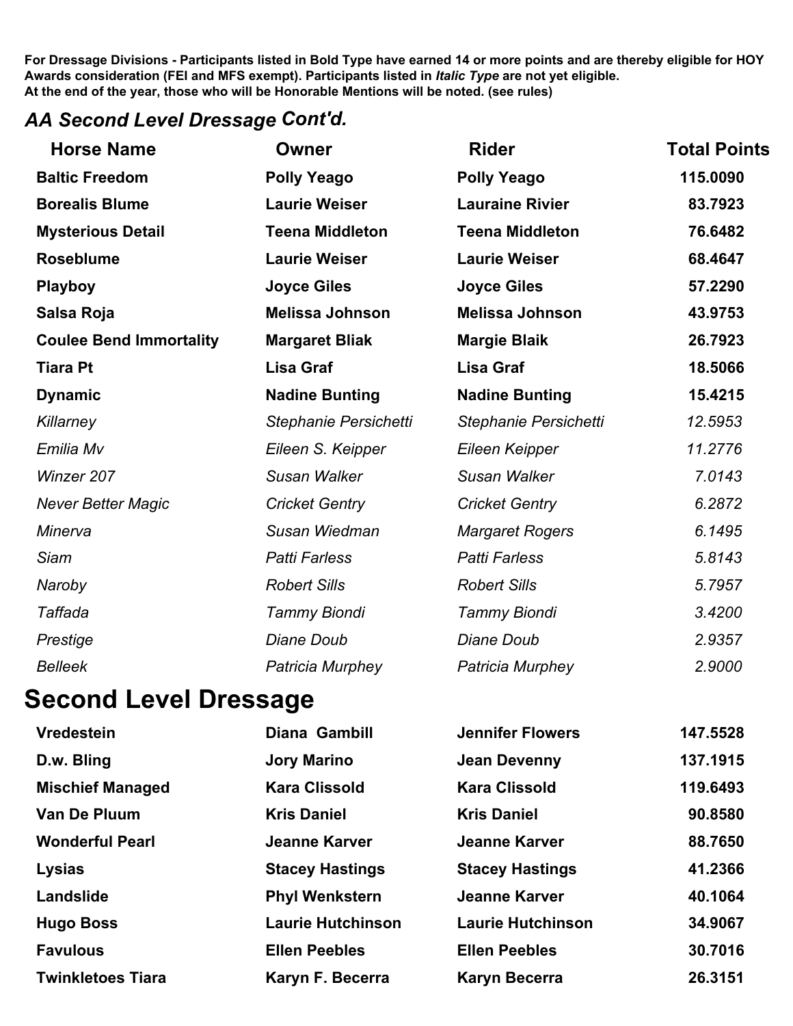### *AA Second Level Dressage Cont'd.*

| <b>Horse Name</b>              | <b>Owner</b>           | <b>Rider</b>           | <b>Total Points</b> |
|--------------------------------|------------------------|------------------------|---------------------|
| <b>Baltic Freedom</b>          | <b>Polly Yeago</b>     | <b>Polly Yeago</b>     | 115.0090            |
| <b>Borealis Blume</b>          | <b>Laurie Weiser</b>   | <b>Lauraine Rivier</b> | 83.7923             |
| <b>Mysterious Detail</b>       | <b>Teena Middleton</b> | <b>Teena Middleton</b> | 76.6482             |
| <b>Roseblume</b>               | <b>Laurie Weiser</b>   | <b>Laurie Weiser</b>   | 68.4647             |
| Playboy                        | <b>Joyce Giles</b>     | <b>Joyce Giles</b>     | 57.2290             |
| Salsa Roja                     | <b>Melissa Johnson</b> | <b>Melissa Johnson</b> | 43.9753             |
| <b>Coulee Bend Immortality</b> | <b>Margaret Bliak</b>  | <b>Margie Blaik</b>    | 26.7923             |
| <b>Tiara Pt</b>                | <b>Lisa Graf</b>       | <b>Lisa Graf</b>       | 18.5066             |
| <b>Dynamic</b>                 | <b>Nadine Bunting</b>  | <b>Nadine Bunting</b>  | 15.4215             |
| Killarney                      | Stephanie Persichetti  | Stephanie Persichetti  | 12.5953             |
| Emilia Mv                      | Eileen S. Keipper      | Eileen Keipper         | 11.2776             |
| Winzer 207                     | Susan Walker           | Susan Walker           | 7.0143              |
| <b>Never Better Magic</b>      | <b>Cricket Gentry</b>  | <b>Cricket Gentry</b>  | 6.2872              |
| Minerva                        | Susan Wiedman          | <b>Margaret Rogers</b> | 6.1495              |
| Siam                           | <b>Patti Farless</b>   | <b>Patti Farless</b>   | 5.8143              |
| Naroby                         | <b>Robert Sills</b>    | <b>Robert Sills</b>    | 5.7957              |
| <b>Taffada</b>                 | <b>Tammy Biondi</b>    | <b>Tammy Biondi</b>    | 3.4200              |
| Prestige                       | Diane Doub             | Diane Doub             | 2.9357              |
| <b>Belleek</b>                 | Patricia Murphey       | Patricia Murphey       | 2.9000              |
| Second Level Dressage          |                        |                        |                     |

# **Second Level Dressage**

| <b>Vredestein</b>        | Diana Gambill            | <b>Jennifer Flowers</b>  | 147.5528 |
|--------------------------|--------------------------|--------------------------|----------|
| D.w. Bling               | <b>Jory Marino</b>       | <b>Jean Devenny</b>      | 137.1915 |
| <b>Mischief Managed</b>  | <b>Kara Clissold</b>     | <b>Kara Clissold</b>     | 119.6493 |
| <b>Van De Pluum</b>      | <b>Kris Daniel</b>       | <b>Kris Daniel</b>       | 90.8580  |
| <b>Wonderful Pearl</b>   | <b>Jeanne Karver</b>     | <b>Jeanne Karver</b>     | 88.7650  |
| <b>Lysias</b>            | <b>Stacey Hastings</b>   | <b>Stacey Hastings</b>   | 41.2366  |
| Landslide                | <b>Phyl Wenkstern</b>    | Jeanne Karver            | 40.1064  |
| <b>Hugo Boss</b>         | <b>Laurie Hutchinson</b> | <b>Laurie Hutchinson</b> | 34.9067  |
| <b>Favulous</b>          | <b>Ellen Peebles</b>     | <b>Ellen Peebles</b>     | 30.7016  |
| <b>Twinkletoes Tiara</b> | Karyn F. Becerra         | <b>Karyn Becerra</b>     | 26.3151  |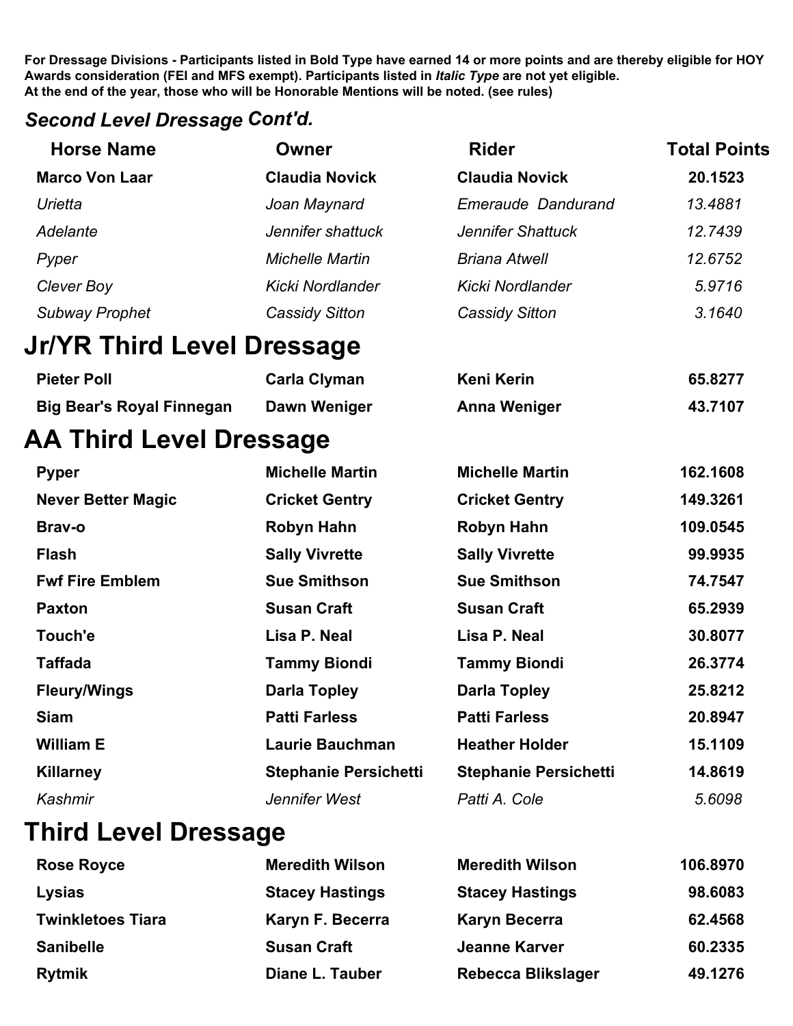### *Second Level Dressage Cont'd.*

| <b>Horse Name</b>                | <b>Owner</b>                 | <b>Rider</b>                 | <b>Total Points</b> |
|----------------------------------|------------------------------|------------------------------|---------------------|
| <b>Marco Von Laar</b>            | <b>Claudia Novick</b>        | <b>Claudia Novick</b>        | 20.1523             |
| Urietta                          | Joan Maynard                 | <b>Emeraude Dandurand</b>    | 13.4881             |
| Adelante                         | Jennifer shattuck            | Jennifer Shattuck            | 12.7439             |
| Pyper                            | <b>Michelle Martin</b>       | <b>Briana Atwell</b>         | 12.6752             |
| Clever Boy                       | Kicki Nordlander             | Kicki Nordlander             | 5.9716              |
| <b>Subway Prophet</b>            | <b>Cassidy Sitton</b>        | <b>Cassidy Sitton</b>        | 3.1640              |
| Jr/YR Third Level Dressage       |                              |                              |                     |
| <b>Pieter Poll</b>               | <b>Carla Clyman</b>          | <b>Keni Kerin</b>            | 65.8277             |
| <b>Big Bear's Royal Finnegan</b> | Dawn Weniger                 | <b>Anna Weniger</b>          | 43.7107             |
| <b>AA Third Level Dressage</b>   |                              |                              |                     |
| <b>Pyper</b>                     | <b>Michelle Martin</b>       | <b>Michelle Martin</b>       | 162.1608            |
| <b>Never Better Magic</b>        | <b>Cricket Gentry</b>        | <b>Cricket Gentry</b>        | 149.3261            |
| Brav-o                           | Robyn Hahn                   | Robyn Hahn                   | 109.0545            |
| <b>Flash</b>                     | <b>Sally Vivrette</b>        | <b>Sally Vivrette</b>        | 99.9935             |
| <b>Fwf Fire Emblem</b>           | <b>Sue Smithson</b>          | <b>Sue Smithson</b>          | 74.7547             |
| <b>Paxton</b>                    | <b>Susan Craft</b>           | <b>Susan Craft</b>           | 65.2939             |
| Touch'e                          | Lisa P. Neal                 | Lisa P. Neal                 | 30.8077             |
| <b>Taffada</b>                   | <b>Tammy Biondi</b>          | <b>Tammy Biondi</b>          | 26.3774             |
| <b>Fleury/Wings</b>              | <b>Darla Topley</b>          | <b>Darla Topley</b>          | 25.8212             |
| <b>Siam</b>                      | <b>Patti Farless</b>         | <b>Patti Farless</b>         | 20.8947             |
| <b>William E</b>                 | <b>Laurie Bauchman</b>       | <b>Heather Holder</b>        | 15.1109             |
| <b>Killarney</b>                 | <b>Stephanie Persichetti</b> | <b>Stephanie Persichetti</b> | 14.8619             |
| Kashmir                          | Jennifer West                | Patti A. Cole                | 5.6098              |

# **Third Level Dressage**

| <b>Rose Royce</b>        | <b>Meredith Wilson</b> | <b>Meredith Wilson</b>    | 106.8970 |
|--------------------------|------------------------|---------------------------|----------|
| <b>Lysias</b>            | <b>Stacey Hastings</b> | <b>Stacey Hastings</b>    | 98.6083  |
| <b>Twinkletoes Tiara</b> | Karyn F. Becerra       | <b>Karyn Becerra</b>      | 62.4568  |
| <b>Sanibelle</b>         | <b>Susan Craft</b>     | Jeanne Karver             | 60.2335  |
| <b>Rytmik</b>            | Diane L. Tauber        | <b>Rebecca Blikslager</b> | 49.1276  |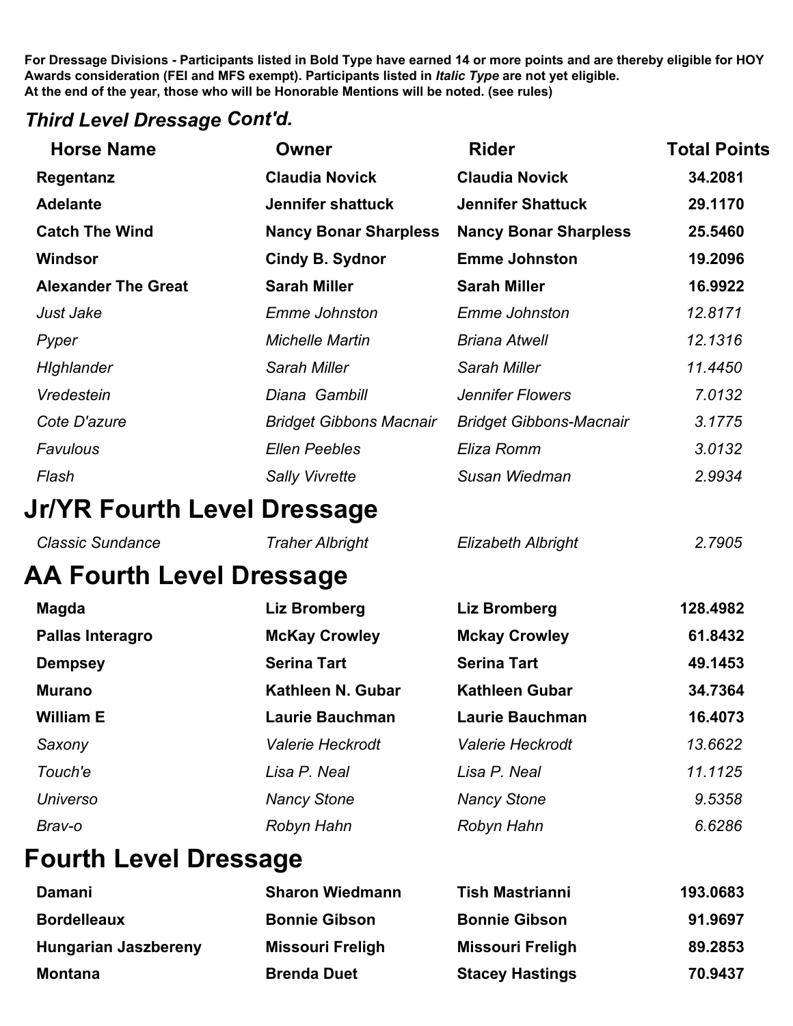### *Third Level Dressage Cont'd.*

| <b>Horse Name</b>               | <b>Owner</b>                   | <b>Rider</b>                   | <b>Total Points</b> |
|---------------------------------|--------------------------------|--------------------------------|---------------------|
| Regentanz                       | <b>Claudia Novick</b>          | <b>Claudia Novick</b>          | 34.2081             |
| <b>Adelante</b>                 | <b>Jennifer shattuck</b>       | <b>Jennifer Shattuck</b>       | 29.1170             |
| <b>Catch The Wind</b>           | <b>Nancy Bonar Sharpless</b>   | <b>Nancy Bonar Sharpless</b>   | 25.5460             |
| <b>Windsor</b>                  | Cindy B. Sydnor                | <b>Emme Johnston</b>           | 19.2096             |
| <b>Alexander The Great</b>      | <b>Sarah Miller</b>            | <b>Sarah Miller</b>            | 16.9922             |
| Just Jake                       | <b>Emme Johnston</b>           | <b>Emme Johnston</b>           | 12.8171             |
| Pyper                           | <b>Michelle Martin</b>         | <b>Briana Atwell</b>           | 12.1316             |
| Highlander                      | Sarah Miller                   | Sarah Miller                   | 11.4450             |
| Vredestein                      | Diana Gambill                  | <b>Jennifer Flowers</b>        | 7.0132              |
| Cote D'azure                    | <b>Bridget Gibbons Macnair</b> | <b>Bridget Gibbons-Macnair</b> | 3.1775              |
| Favulous                        | <b>Ellen Peebles</b>           | Eliza Romm                     | 3.0132              |
| Flash                           | <b>Sally Vivrette</b>          | Susan Wiedman                  | 2.9934              |
| Jr/YR Fourth Level Dressage     |                                |                                |                     |
| <b>Classic Sundance</b>         | <b>Traher Albright</b>         | <b>Elizabeth Albright</b>      | 2.7905              |
| <b>AA Fourth Level Dressage</b> |                                |                                |                     |
| <b>Magda</b>                    | <b>Liz Bromberg</b>            | <b>Liz Bromberg</b>            | 128.4982            |
| <b>Pallas Interagro</b>         | <b>McKay Crowley</b>           | <b>Mckay Crowley</b>           | 61.8432             |
| <b>Dempsey</b>                  | <b>Serina Tart</b>             | <b>Serina Tart</b>             | 49.1453             |
| <b>Murano</b>                   | Kathleen N. Gubar              | <b>Kathleen Gubar</b>          | 34.7364             |
| <b>William E</b>                | <b>Laurie Bauchman</b>         | <b>Laurie Bauchman</b>         | 16.4073             |
| Saxony                          | Valerie Heckrodt               | Valerie Heckrodt               | 13.6622             |
| Touch'e                         | Lisa P. Neal                   | Lisa P. Neal                   | 11.1125             |
| <b>Universo</b>                 | <b>Nancy Stone</b>             | <b>Nancy Stone</b>             | 9.5358              |
| Brav-o                          | Robyn Hahn                     | Robyn Hahn                     | 6.6286              |
| <b>Fourth Level Dressage</b>    |                                |                                |                     |

| Damani                      | <b>Sharon Wiedmann</b>  | <b>Tish Mastrianni</b>  | 193.0683 |
|-----------------------------|-------------------------|-------------------------|----------|
| <b>Bordelleaux</b>          | <b>Bonnie Gibson</b>    | <b>Bonnie Gibson</b>    | 91.9697  |
| <b>Hungarian Jaszbereny</b> | <b>Missouri Freligh</b> | <b>Missouri Freligh</b> | 89.2853  |
| <b>Montana</b>              | <b>Brenda Duet</b>      | <b>Stacey Hastings</b>  | 70.9437  |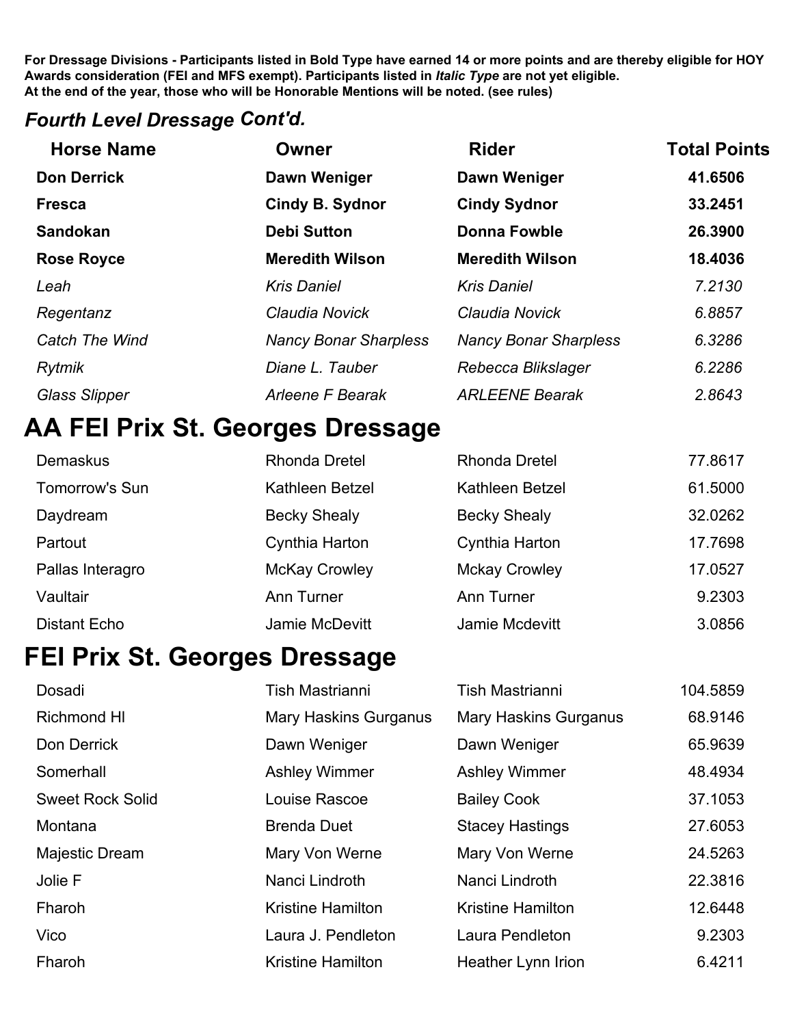#### *Fourth Level Dressage Cont'd.*

| <b>Horse Name</b>     | Owner                        | <b>Rider</b>                 | <b>Total Points</b> |
|-----------------------|------------------------------|------------------------------|---------------------|
| <b>Don Derrick</b>    | Dawn Weniger                 | Dawn Weniger                 | 41.6506             |
| <b>Fresca</b>         | Cindy B. Sydnor              | <b>Cindy Sydnor</b>          | 33.2451             |
| <b>Sandokan</b>       | <b>Debi Sutton</b>           | <b>Donna Fowble</b>          | 26.3900             |
| <b>Rose Royce</b>     | <b>Meredith Wilson</b>       | <b>Meredith Wilson</b>       | 18.4036             |
| Leah                  | <b>Kris Daniel</b>           | <b>Kris Daniel</b>           | 7.2130              |
| Regentanz             | Claudia Novick               | Claudia Novick               | 6.8857              |
| <b>Catch The Wind</b> | <b>Nancy Bonar Sharpless</b> | <b>Nancy Bonar Sharpless</b> | 6.3286              |
| Rytmik                | Diane L. Tauber              | Rebecca Blikslager           | 6.2286              |
| <b>Glass Slipper</b>  | Arleene F Bearak             | <b>ARLEENE Bearak</b>        | 2.8643              |

### **AA FEI Prix St. Georges Dressage**

| Demaskus         | <b>Rhonda Dretel</b> | <b>Rhonda Dretel</b> | 77.8617 |
|------------------|----------------------|----------------------|---------|
| Tomorrow's Sun   | Kathleen Betzel      | Kathleen Betzel      | 61.5000 |
| Daydream         | <b>Becky Shealy</b>  | <b>Becky Shealy</b>  | 32.0262 |
| Partout          | Cynthia Harton       | Cynthia Harton       | 17.7698 |
| Pallas Interagro | <b>McKay Crowley</b> | <b>Mckay Crowley</b> | 17.0527 |
| Vaultair         | Ann Turner           | Ann Turner           | 9.2303  |
| Distant Echo     | Jamie McDevitt       | Jamie Mcdevitt       | 3.0856  |

# **FEI Prix St. Georges Dressage**

| Dosadi                  | Tish Mastrianni              | Tish Mastrianni              | 104.5859 |
|-------------------------|------------------------------|------------------------------|----------|
| Richmond HI             | <b>Mary Haskins Gurganus</b> | <b>Mary Haskins Gurganus</b> | 68.9146  |
| Don Derrick             | Dawn Weniger                 | Dawn Weniger                 | 65.9639  |
| Somerhall               | <b>Ashley Wimmer</b>         | <b>Ashley Wimmer</b>         | 48.4934  |
| <b>Sweet Rock Solid</b> | Louise Rascoe                | <b>Bailey Cook</b>           | 37.1053  |
| Montana                 | <b>Brenda Duet</b>           | <b>Stacey Hastings</b>       | 27.6053  |
| Majestic Dream          | Mary Von Werne               | Mary Von Werne               | 24.5263  |
| Jolie F                 | Nanci Lindroth               | Nanci Lindroth               | 22.3816  |
| Fharoh                  | <b>Kristine Hamilton</b>     | <b>Kristine Hamilton</b>     | 12.6448  |
| Vico                    | Laura J. Pendleton           | Laura Pendleton              | 9.2303   |
| Fharoh                  | <b>Kristine Hamilton</b>     | Heather Lynn Irion           | 6.4211   |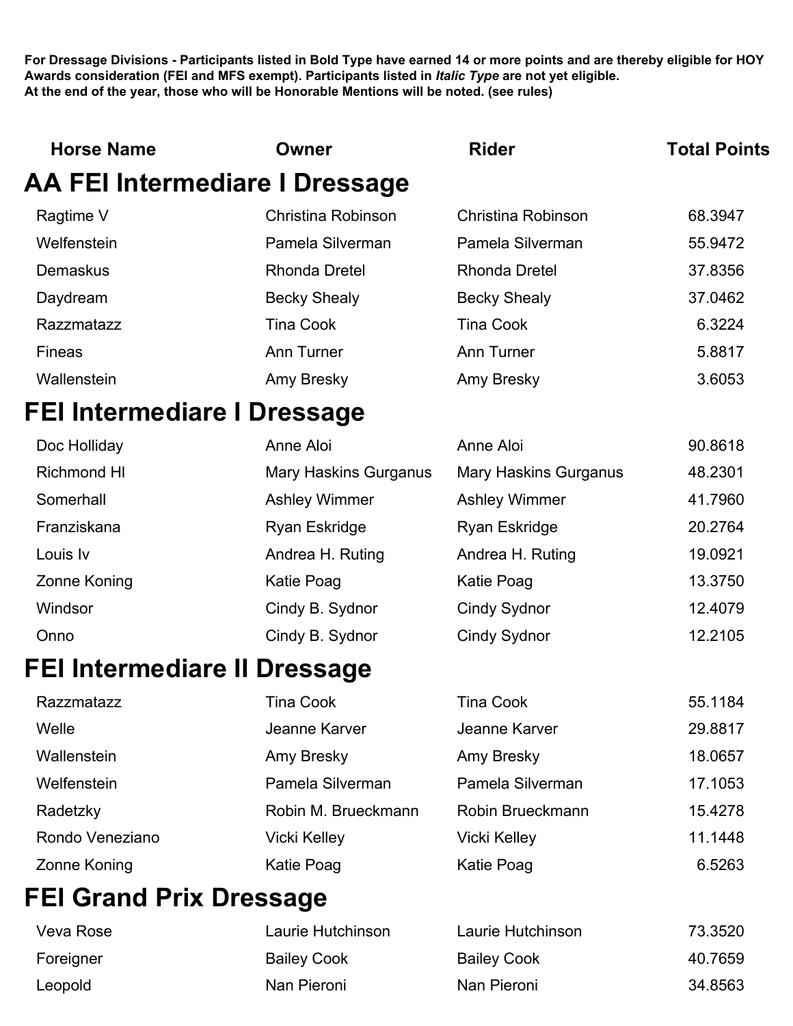| <b>Horse Name</b>                   | Owner                                 | <b>Rider</b>                 | <b>Total Points</b> |
|-------------------------------------|---------------------------------------|------------------------------|---------------------|
|                                     | <b>AA FEI Intermediare I Dressage</b> |                              |                     |
| Ragtime V                           | Christina Robinson                    | Christina Robinson           | 68.3947             |
| Welfenstein                         | Pamela Silverman                      | Pamela Silverman             | 55.9472             |
| Demaskus                            | <b>Rhonda Dretel</b>                  | <b>Rhonda Dretel</b>         | 37.8356             |
| Daydream                            | <b>Becky Shealy</b>                   | <b>Becky Shealy</b>          | 37.0462             |
| Razzmatazz                          | <b>Tina Cook</b>                      | <b>Tina Cook</b>             | 6.3224              |
| <b>Fineas</b>                       | Ann Turner                            | Ann Turner                   | 5.8817              |
| Wallenstein                         | Amy Bresky                            | Amy Bresky                   | 3.6053              |
| <b>FEI Intermediare I Dressage</b>  |                                       |                              |                     |
| Doc Holliday                        | Anne Aloi                             | Anne Aloi                    | 90.8618             |
| <b>Richmond HI</b>                  | <b>Mary Haskins Gurganus</b>          | <b>Mary Haskins Gurganus</b> | 48.2301             |
| Somerhall                           | <b>Ashley Wimmer</b>                  | Ashley Wimmer                | 41.7960             |
| Franziskana                         | Ryan Eskridge                         | Ryan Eskridge                | 20.2764             |
| Louis Iv                            | Andrea H. Ruting                      | Andrea H. Ruting             | 19.0921             |
| Zonne Koning                        | Katie Poag                            | Katie Poag                   | 13.3750             |
| Windsor                             | Cindy B. Sydnor                       | Cindy Sydnor                 | 12.4079             |
| Onno                                | Cindy B. Sydnor                       | <b>Cindy Sydnor</b>          | 12.2105             |
| <b>FEI Intermediare II Dressage</b> |                                       |                              |                     |
| Razzmatazz                          | <b>Tina Cook</b>                      | <b>Tina Cook</b>             | 55.1184             |
| Welle                               | Jeanne Karver                         | Jeanne Karver                | 29.8817             |
| Wallenstein                         | Amy Bresky                            | Amy Bresky                   | 18.0657             |
| Welfenstein                         | Pamela Silverman                      | Pamela Silverman             | 17.1053             |
| Radetzky                            | Robin M. Brueckmann                   | Robin Brueckmann             | 15.4278             |
| Rondo Veneziano                     | <b>Vicki Kelley</b>                   | Vicki Kelley                 | 11.1448             |
| Zonne Koning                        | Katie Poag                            | Katie Poag                   | 6.5263              |
| <b>FEI Grand Prix Dressage</b>      |                                       |                              |                     |
| Veva Rose                           | Laurie Hutchinson                     | Laurie Hutchinson            | 73.3520             |

| Foreigner | <b>Bailey Cook</b> | <b>Bailey Cook</b> | 40.7659 |
|-----------|--------------------|--------------------|---------|
| Leopold   | Nan Pieroni        | Nan Pieroni        | 34.8563 |